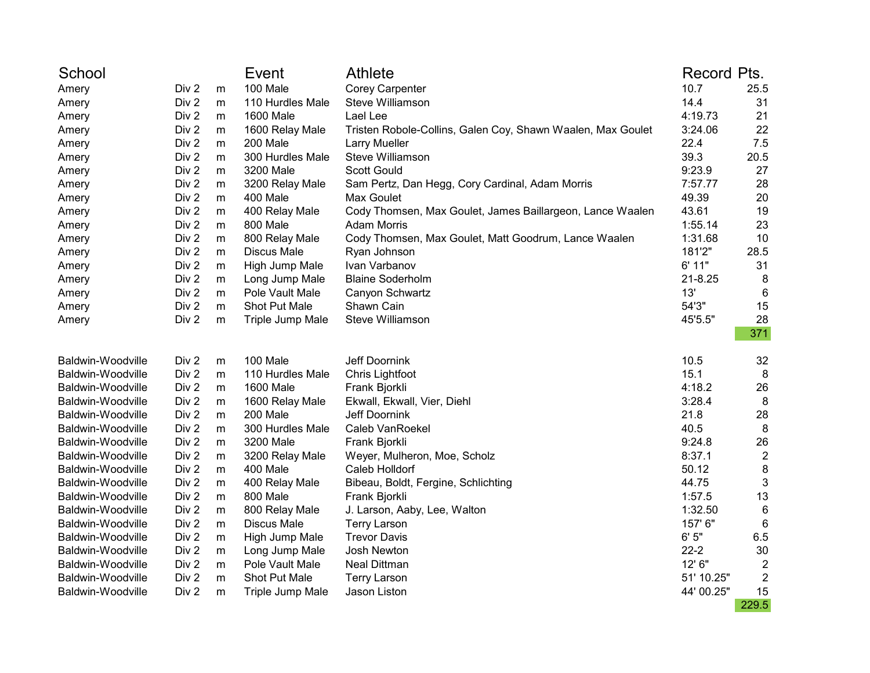| School            |       |           | Event              | <b>Athlete</b>                                              | Record Pts. |                 |
|-------------------|-------|-----------|--------------------|-------------------------------------------------------------|-------------|-----------------|
| Amery             | Div 2 | m         | 100 Male           | <b>Corey Carpenter</b>                                      | 10.7        | 25.5            |
| Amery             | Div 2 | m         | 110 Hurdles Male   | <b>Steve Williamson</b>                                     | 14.4        | 31              |
| Amery             | Div 2 | m         | 1600 Male          | Lael Lee                                                    | 4:19.73     | 21              |
| Amery             | Div 2 | m         | 1600 Relay Male    | Tristen Robole-Collins, Galen Coy, Shawn Waalen, Max Goulet | 3:24.06     | 22              |
| Amery             | Div 2 | m         | 200 Male           | <b>Larry Mueller</b>                                        | 22.4        | 7.5             |
| Amery             | Div 2 | m         | 300 Hurdles Male   | Steve Williamson                                            | 39.3        | 20.5            |
| Amery             | Div 2 | m         | 3200 Male          | <b>Scott Gould</b>                                          | 9:23.9      | 27              |
| Amery             | Div 2 | m         | 3200 Relay Male    | Sam Pertz, Dan Hegg, Cory Cardinal, Adam Morris             | 7:57.77     | 28              |
| Amery             | Div 2 | m         | 400 Male           | Max Goulet                                                  | 49.39       | 20              |
| Amery             | Div 2 | m         | 400 Relay Male     | Cody Thomsen, Max Goulet, James Baillargeon, Lance Waalen   | 43.61       | 19              |
| Amery             | Div 2 | m         | 800 Male           | <b>Adam Morris</b>                                          | 1:55.14     | 23              |
| Amery             | Div 2 | ${\sf m}$ | 800 Relay Male     | Cody Thomsen, Max Goulet, Matt Goodrum, Lance Waalen        | 1:31.68     | 10              |
| Amery             | Div 2 | m         | <b>Discus Male</b> | Ryan Johnson                                                | 181'2"      | 28.5            |
| Amery             | Div 2 | m         | High Jump Male     | Ivan Varbanov                                               | 6' 11"      | 31              |
| Amery             | Div 2 | m         | Long Jump Male     | <b>Blaine Soderholm</b>                                     | 21-8.25     | 8               |
| Amery             | Div 2 | m         | Pole Vault Male    | Canyon Schwartz                                             | 13'         | 6               |
| Amery             | Div 2 | m         | Shot Put Male      | Shawn Cain                                                  | 54'3"       | 15              |
| Amery             | Div 2 | m         | Triple Jump Male   | Steve Williamson                                            | 45'5.5"     | 28              |
|                   |       |           |                    |                                                             |             | 371             |
| Baldwin-Woodville | Div 2 | m         | 100 Male           | Jeff Doornink                                               | 10.5        | 32              |
| Baldwin-Woodville | Div 2 | m         | 110 Hurdles Male   | Chris Lightfoot                                             | 15.1        | 8               |
| Baldwin-Woodville | Div 2 | m         | 1600 Male          | Frank Bjorkli                                               | 4:18.2      | 26              |
| Baldwin-Woodville | Div 2 | m         | 1600 Relay Male    | Ekwall, Ekwall, Vier, Diehl                                 | 3:28.4      | 8               |
| Baldwin-Woodville | Div 2 | m         | 200 Male           | Jeff Doornink                                               | 21.8        | 28              |
| Baldwin-Woodville | Div 2 | m         | 300 Hurdles Male   | Caleb VanRoekel                                             | 40.5        | 8               |
| Baldwin-Woodville | Div 2 | m         | 3200 Male          | Frank Bjorkli                                               | 9:24.8      | 26              |
| Baldwin-Woodville | Div 2 | m         | 3200 Relay Male    | Weyer, Mulheron, Moe, Scholz                                | 8:37.1      | $\sqrt{2}$      |
| Baldwin-Woodville | Div 2 | m         | 400 Male           | Caleb Holldorf                                              | 50.12       | $\,8\,$         |
| Baldwin-Woodville | Div 2 | m         | 400 Relay Male     | Bibeau, Boldt, Fergine, Schlichting                         | 44.75       | $\mathbf{3}$    |
| Baldwin-Woodville | Div 2 | m         | 800 Male           | Frank Bjorkli                                               | 1:57.5      | 13              |
| Baldwin-Woodville | Div 2 | m         | 800 Relay Male     | J. Larson, Aaby, Lee, Walton                                | 1:32.50     | $6\phantom{1}6$ |
| Baldwin-Woodville | Div 2 | m         | <b>Discus Male</b> | <b>Terry Larson</b>                                         | 157' 6"     | 6               |
| Baldwin-Woodville | Div 2 | m         | High Jump Male     | <b>Trevor Davis</b>                                         | 6'5''       | 6.5             |
| Baldwin-Woodville | Div 2 | m         | Long Jump Male     | Josh Newton                                                 | $22 - 2$    | 30              |
| Baldwin-Woodville | Div 2 | m         | Pole Vault Male    | Neal Dittman                                                | 12' 6"      | $\overline{2}$  |
| Baldwin-Woodville | Div 2 | m         | Shot Put Male      | <b>Terry Larson</b>                                         | 51' 10.25"  | $\overline{2}$  |
| Baldwin-Woodville | Div 2 | m         | Triple Jump Male   | Jason Liston                                                | 44' 00.25"  | 15              |
|                   |       |           |                    |                                                             |             | 229.5           |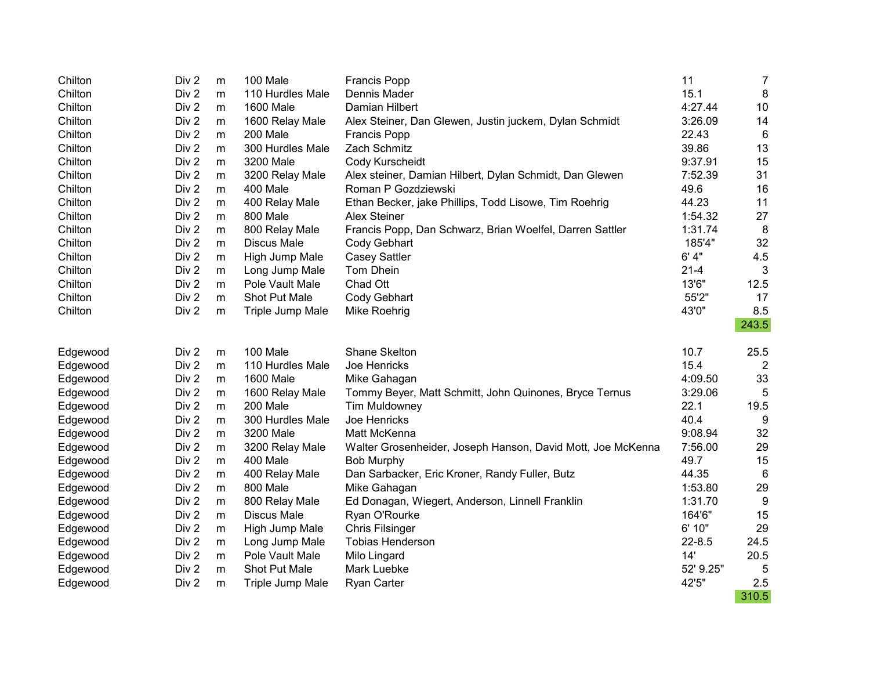| Chilton  | Div <sub>2</sub> | m         | 100 Male           | Francis Popp                                                | 11         | $\overline{7}$  |
|----------|------------------|-----------|--------------------|-------------------------------------------------------------|------------|-----------------|
| Chilton  | Div <sub>2</sub> | m         | 110 Hurdles Male   | Dennis Mader                                                | 15.1       | 8               |
| Chilton  | Div <sub>2</sub> | m         | 1600 Male          | Damian Hilbert                                              | 4:27.44    | 10              |
| Chilton  | Div <sub>2</sub> | m         | 1600 Relay Male    | Alex Steiner, Dan Glewen, Justin juckem, Dylan Schmidt      | 3:26.09    | 14              |
| Chilton  | Div <sub>2</sub> | ${\sf m}$ | 200 Male           | Francis Popp                                                | 22.43      | $6\phantom{1}6$ |
| Chilton  | Div 2            | m         | 300 Hurdles Male   | Zach Schmitz                                                | 39.86      | 13              |
| Chilton  | Div 2            | m         | 3200 Male          | Cody Kurscheidt                                             | 9:37.91    | 15              |
| Chilton  | Div <sub>2</sub> | m         | 3200 Relay Male    | Alex steiner, Damian Hilbert, Dylan Schmidt, Dan Glewen     | 7:52.39    | 31              |
| Chilton  | Div 2            | ${\sf m}$ | 400 Male           | Roman P Gozdziewski                                         | 49.6       | 16              |
| Chilton  | Div 2            | m         | 400 Relay Male     | Ethan Becker, jake Phillips, Todd Lisowe, Tim Roehrig       | 44.23      | 11              |
| Chilton  | Div <sub>2</sub> | m         | 800 Male           | <b>Alex Steiner</b>                                         | 1:54.32    | 27              |
| Chilton  | Div 2            | m         | 800 Relay Male     | Francis Popp, Dan Schwarz, Brian Woelfel, Darren Sattler    | 1:31.74    | 8               |
| Chilton  | Div 2            | ${\sf m}$ | Discus Male        | Cody Gebhart                                                | 185'4"     | 32              |
| Chilton  | Div 2            | ${\sf m}$ | High Jump Male     | <b>Casey Sattler</b>                                        | 6' 4''     | 4.5             |
| Chilton  | Div 2            | m         | Long Jump Male     | Tom Dhein                                                   | $21 - 4$   | 3               |
| Chilton  | Div 2            | m         | Pole Vault Male    | Chad Ott                                                    | 13'6"      | 12.5            |
| Chilton  | Div 2            | m         | Shot Put Male      | Cody Gebhart                                                | 55'2"      | 17              |
| Chilton  | Div 2            | m         | Triple Jump Male   | Mike Roehrig                                                | 43'0"      | 8.5             |
|          |                  |           |                    |                                                             |            | 243.5           |
|          |                  |           |                    |                                                             |            |                 |
| Edgewood | Div 2            | ${\sf m}$ | 100 Male           | Shane Skelton                                               | 10.7       | 25.5            |
| Edgewood | Div 2            | m         | 110 Hurdles Male   | Joe Henricks                                                | 15.4       | 2               |
| Edgewood | Div 2            | m         | 1600 Male          | Mike Gahagan                                                | 4:09.50    | 33              |
| Edgewood | Div 2            | m         | 1600 Relay Male    | Tommy Beyer, Matt Schmitt, John Quinones, Bryce Ternus      | 3:29.06    | 5               |
| Edgewood | Div 2            | m         | 200 Male           | <b>Tim Muldowney</b>                                        | 22.1       | 19.5            |
| Edgewood | Div 2            | ${\sf m}$ | 300 Hurdles Male   | Joe Henricks                                                | 40.4       | 9               |
| Edgewood | Div 2            | m         | 3200 Male          | Matt McKenna                                                | 9:08.94    | 32              |
| Edgewood | Div 2            | m         | 3200 Relay Male    | Walter Grosenheider, Joseph Hanson, David Mott, Joe McKenna | 7:56.00    | 29              |
| Edgewood | Div 2            | ${\sf m}$ | 400 Male           | <b>Bob Murphy</b>                                           | 49.7       | 15              |
| Edgewood | Div 2            | m         | 400 Relay Male     | Dan Sarbacker, Eric Kroner, Randy Fuller, Butz              | 44.35      | $6\phantom{1}6$ |
| Edgewood | Div 2            | m         | 800 Male           | Mike Gahagan                                                | 1:53.80    | 29              |
| Edgewood | Div <sub>2</sub> | m         | 800 Relay Male     | Ed Donagan, Wiegert, Anderson, Linnell Franklin             | 1:31.70    | 9               |
| Edgewood | Div 2            | ${\sf m}$ | <b>Discus Male</b> | Ryan O'Rourke                                               | 164'6"     | 15              |
| Edgewood | Div 2            | m         | High Jump Male     | <b>Chris Filsinger</b>                                      | 6' 10"     | 29              |
| Edgewood | Div 2            | m         | Long Jump Male     | <b>Tobias Henderson</b>                                     | $22 - 8.5$ | 24.5            |
| Edgewood | Div 2            | m         | Pole Vault Male    | Milo Lingard                                                | 14'        | 20.5            |
|          |                  |           |                    |                                                             |            |                 |
| Edgewood | Div 2            | m         | Shot Put Male      | Mark Luebke                                                 | 52' 9.25"  | 5               |
| Edgewood | Div 2            | m         | Triple Jump Male   | <b>Ryan Carter</b>                                          | 42'5"      | 2.5<br>310.5    |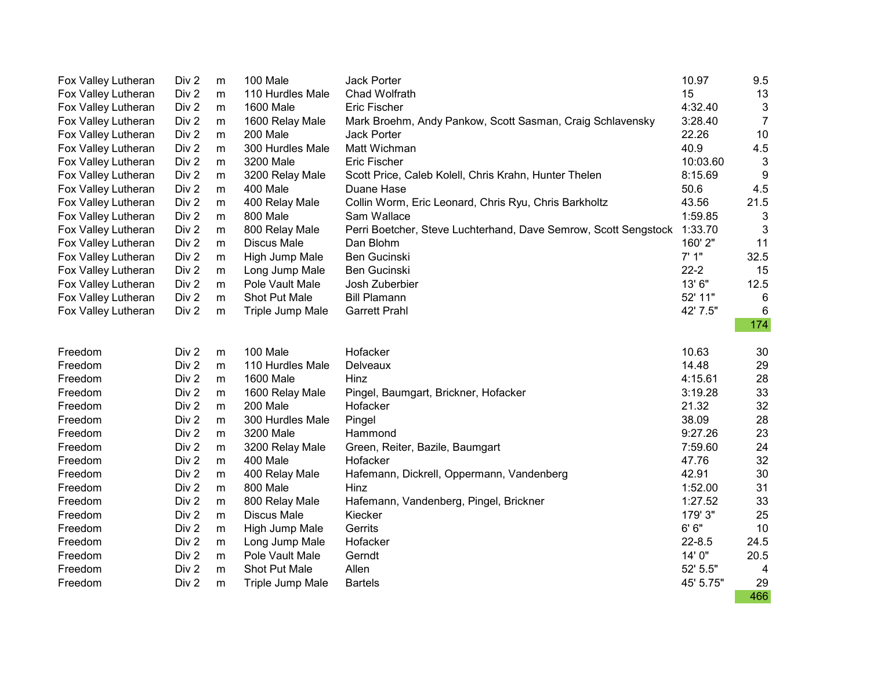| Fox Valley Lutheran | Div 2            | m         | 100 Male           | <b>Jack Porter</b>                                              | 10.97      | 9.5            |
|---------------------|------------------|-----------|--------------------|-----------------------------------------------------------------|------------|----------------|
| Fox Valley Lutheran | Div 2            | m         | 110 Hurdles Male   | Chad Wolfrath                                                   | 15         | 13             |
| Fox Valley Lutheran | Div 2            | m         | <b>1600 Male</b>   | <b>Eric Fischer</b>                                             | 4:32.40    | 3              |
| Fox Valley Lutheran | Div 2            | m         | 1600 Relay Male    | Mark Broehm, Andy Pankow, Scott Sasman, Craig Schlavensky       | 3:28.40    | $\overline{7}$ |
| Fox Valley Lutheran | Div 2            | m         | 200 Male           | <b>Jack Porter</b>                                              | 22.26      | 10             |
| Fox Valley Lutheran | Div 2            | m         | 300 Hurdles Male   | Matt Wichman                                                    | 40.9       | 4.5            |
| Fox Valley Lutheran | Div 2            | m         | 3200 Male          | <b>Eric Fischer</b>                                             | 10:03.60   | 3              |
| Fox Valley Lutheran | Div 2            | m         | 3200 Relay Male    | Scott Price, Caleb Kolell, Chris Krahn, Hunter Thelen           | 8:15.69    | 9              |
| Fox Valley Lutheran | Div 2            | m         | 400 Male           | Duane Hase                                                      | 50.6       | 4.5            |
| Fox Valley Lutheran | Div 2            | m         | 400 Relay Male     | Collin Worm, Eric Leonard, Chris Ryu, Chris Barkholtz           | 43.56      | 21.5           |
| Fox Valley Lutheran | Div 2            | m         | 800 Male           | Sam Wallace                                                     | 1:59.85    | 3              |
| Fox Valley Lutheran | Div 2            | m         | 800 Relay Male     | Perri Boetcher, Steve Luchterhand, Dave Semrow, Scott Sengstock | 1:33.70    | 3              |
| Fox Valley Lutheran | Div 2            | m         | <b>Discus Male</b> | Dan Blohm                                                       | 160' 2"    | 11             |
| Fox Valley Lutheran | Div 2            | m         | High Jump Male     | Ben Gucinski                                                    | 7'1"       | 32.5           |
| Fox Valley Lutheran | Div 2            | m         | Long Jump Male     | Ben Gucinski                                                    | $22 - 2$   | 15             |
| Fox Valley Lutheran | Div 2            | m         | Pole Vault Male    | Josh Zuberbier                                                  | 13' 6"     | 12.5           |
| Fox Valley Lutheran | Div 2            | m         | Shot Put Male      | <b>Bill Plamann</b>                                             | 52' 11"    | 6              |
| Fox Valley Lutheran | Div 2            | m         | Triple Jump Male   | <b>Garrett Prahl</b>                                            | 42' 7.5"   | 6              |
|                     |                  |           |                    |                                                                 |            | 174            |
|                     |                  |           |                    |                                                                 |            |                |
| Freedom             | Div 2            | m         | 100 Male           | Hofacker                                                        | 10.63      | 30             |
| Freedom             | Div 2            | m         | 110 Hurdles Male   | Delveaux                                                        | 14.48      | 29             |
| Freedom             | Div 2            | m         | 1600 Male          | Hinz                                                            | 4:15.61    | 28             |
| Freedom             | Div 2            | m         | 1600 Relay Male    | Pingel, Baumgart, Brickner, Hofacker                            | 3:19.28    | 33             |
| Freedom             | Div 2            | m         | 200 Male           | Hofacker                                                        | 21.32      | 32             |
| Freedom             | Div 2            | m         | 300 Hurdles Male   | Pingel                                                          | 38.09      | 28             |
| Freedom             | Div 2            | m         | 3200 Male          | Hammond                                                         | 9:27.26    | 23             |
| Freedom             | Div 2            | ${\sf m}$ | 3200 Relay Male    | Green, Reiter, Bazile, Baumgart                                 | 7:59.60    | 24             |
| Freedom             | Div 2            | m         | 400 Male           | Hofacker                                                        | 47.76      | 32             |
| Freedom             | Div 2            | m         | 400 Relay Male     | Hafemann, Dickrell, Oppermann, Vandenberg                       | 42.91      | 30             |
| Freedom             | Div 2            | m         | 800 Male           | Hinz                                                            | 1:52.00    | 31             |
| Freedom             | Div 2            | m         | 800 Relay Male     | Hafemann, Vandenberg, Pingel, Brickner                          | 1:27.52    | 33             |
| Freedom             | Div 2            | m         | <b>Discus Male</b> | Kiecker                                                         | 179' 3"    | 25             |
| Freedom             | Div <sub>2</sub> | m         | High Jump Male     | Gerrits                                                         | 6'6''      | 10             |
| Freedom             | Div 2            | m         | Long Jump Male     | Hofacker                                                        | $22 - 8.5$ | 24.5           |
| Freedom             | Div 2            | m         | Pole Vault Male    | Gerndt                                                          | 14' 0"     | 20.5           |
| Freedom             | Div 2            | m         | Shot Put Male      | Allen                                                           | 52' 5.5"   | 4              |
| Freedom             | Div <sub>2</sub> | m         | Triple Jump Male   | <b>Bartels</b>                                                  | 45' 5.75"  | 29             |
|                     |                  |           |                    |                                                                 |            | 466            |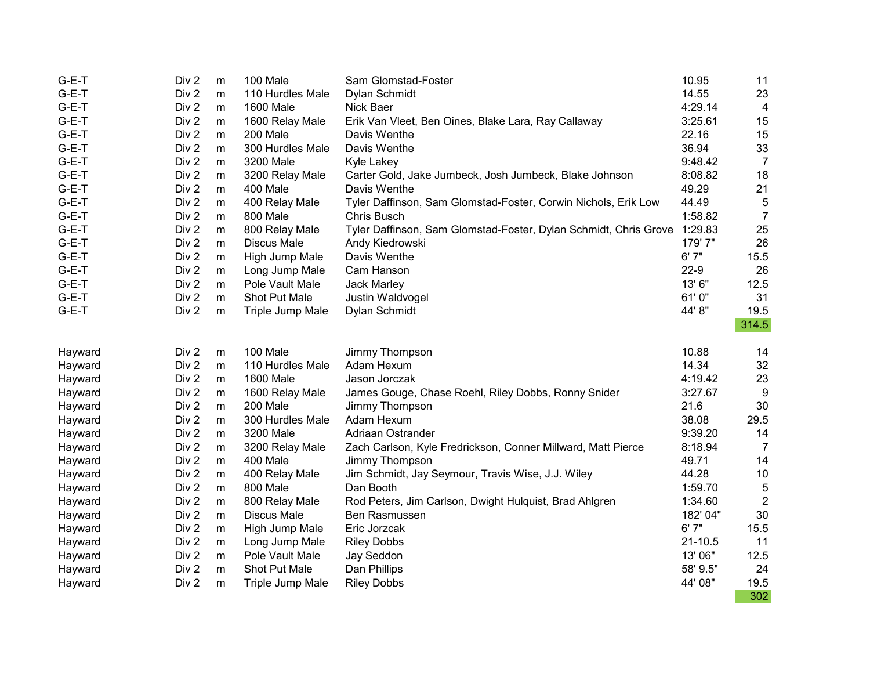| $G-E-T$            | Div 2 | m         | 100 Male           | Sam Glomstad-Foster                                              | 10.95       | 11             |
|--------------------|-------|-----------|--------------------|------------------------------------------------------------------|-------------|----------------|
| G-E-T              | Div 2 | m         | 110 Hurdles Male   | Dylan Schmidt                                                    | 14.55       | 23             |
| G-E-T              | Div 2 | m         | 1600 Male          | Nick Baer                                                        | 4:29.14     | $\overline{4}$ |
| G-E-T              | Div 2 | m         | 1600 Relay Male    | Erik Van Vleet, Ben Oines, Blake Lara, Ray Callaway              | 3:25.61     | 15             |
| G-E-T              | Div 2 | m         | 200 Male           | Davis Wenthe                                                     | 22.16       | 15             |
| G-E-T              | Div 2 | m         | 300 Hurdles Male   | Davis Wenthe                                                     | 36.94       | 33             |
| G-E-T              | Div 2 | m         | 3200 Male          | Kyle Lakey                                                       | 9:48.42     | $\overline{7}$ |
| $G-E-T$            | Div 2 | m         | 3200 Relay Male    | Carter Gold, Jake Jumbeck, Josh Jumbeck, Blake Johnson           | 8:08.82     | 18             |
| $G-E-T$            | Div 2 | m         | 400 Male           | Davis Wenthe                                                     | 49.29       | 21             |
| $G-E-T$            | Div 2 | m         | 400 Relay Male     | Tyler Daffinson, Sam Glomstad-Foster, Corwin Nichols, Erik Low   | 44.49       | 5              |
| G-E-T              | Div 2 | m         | 800 Male           | Chris Busch                                                      | 1:58.82     | $\overline{7}$ |
| G-E-T              | Div 2 | m         | 800 Relay Male     | Tyler Daffinson, Sam Glomstad-Foster, Dylan Schmidt, Chris Grove | 1:29.83     | 25             |
| G-E-T              | Div 2 | m         | <b>Discus Male</b> | Andy Kiedrowski                                                  | 179'7"      | 26             |
| G-E-T              | Div 2 | m         | High Jump Male     | Davis Wenthe                                                     | 6'7''       | 15.5           |
| $G-E-T$            | Div 2 | ${\sf m}$ | Long Jump Male     | Cam Hanson                                                       | $22-9$      | 26             |
| G-E-T              | Div 2 | m         | Pole Vault Male    | <b>Jack Marley</b>                                               | 13' 6"      | 12.5           |
| $G-E-T$            | Div 2 | m         | Shot Put Male      | Justin Waldvogel                                                 | 61'0"       | 31             |
| $G-E-T$            | Div 2 | m         | Triple Jump Male   | Dylan Schmidt                                                    | 44' 8"      | 19.5           |
|                    |       |           |                    |                                                                  |             | 314.5          |
|                    |       |           |                    |                                                                  |             |                |
| Hayward            | Div 2 | m         | 100 Male           | Jimmy Thompson                                                   | 10.88       | 14             |
| Hayward            | Div 2 | m         | 110 Hurdles Male   | Adam Hexum                                                       | 14.34       | 32             |
| Hayward            | Div 2 | m         | <b>1600 Male</b>   | Jason Jorczak                                                    | 4:19.42     | 23             |
| Hayward            | Div 2 | m         | 1600 Relay Male    | James Gouge, Chase Roehl, Riley Dobbs, Ronny Snider              | 3:27.67     | 9              |
| Hayward            | Div 2 | m         | 200 Male           | Jimmy Thompson                                                   | 21.6        | 30             |
| Hayward            | Div 2 | m         | 300 Hurdles Male   | Adam Hexum                                                       | 38.08       | 29.5           |
| Hayward            |       |           |                    |                                                                  |             |                |
|                    | Div 2 | m         | 3200 Male          | Adriaan Ostrander                                                | 9:39.20     | 14             |
| Hayward            | Div 2 | ${\sf m}$ | 3200 Relay Male    | Zach Carlson, Kyle Fredrickson, Conner Millward, Matt Pierce     | 8:18.94     | $\overline{7}$ |
| Hayward            | Div 2 | m         | 400 Male           | Jimmy Thompson                                                   | 49.71       | 14             |
| Hayward            | Div 2 | m         | 400 Relay Male     | Jim Schmidt, Jay Seymour, Travis Wise, J.J. Wiley                | 44.28       | 10             |
| Hayward            | Div 2 | m         | 800 Male           | Dan Booth                                                        | 1:59.70     | 5              |
| Hayward            | Div 2 | m         | 800 Relay Male     | Rod Peters, Jim Carlson, Dwight Hulquist, Brad Ahlgren           | 1:34.60     | $\overline{2}$ |
| Hayward            | Div 2 | m         | <b>Discus Male</b> | Ben Rasmussen                                                    | 182' 04"    | 30             |
| Hayward            | Div 2 | m         | High Jump Male     | Eric Jorzcak                                                     | 6'7''       | 15.5           |
| Hayward            | Div 2 | m         | Long Jump Male     | <b>Riley Dobbs</b>                                               | $21 - 10.5$ | 11             |
|                    | Div 2 | m         | Pole Vault Male    | Jay Seddon                                                       | 13' 06"     | 12.5           |
| Hayward<br>Hayward | Div 2 | m         | Shot Put Male      | Dan Phillips                                                     | 58' 9.5"    | 24             |
| Hayward            | Div 2 | m         | Triple Jump Male   | <b>Riley Dobbs</b>                                               | 44' 08"     | 19.5           |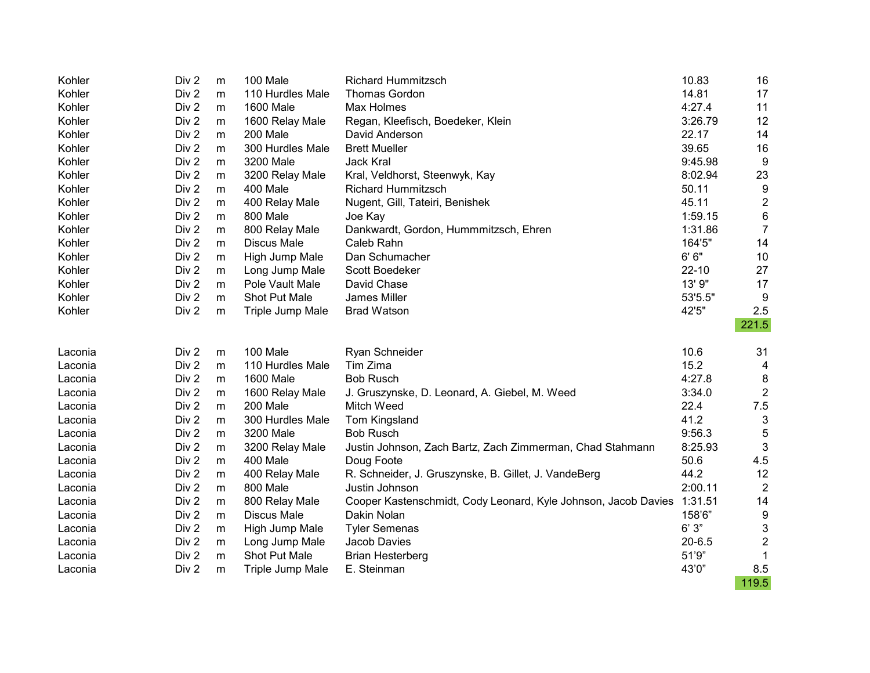| Kohler  | Div 2            | m         | 100 Male           | <b>Richard Hummitzsch</b>                                              | 10.83      | 16               |
|---------|------------------|-----------|--------------------|------------------------------------------------------------------------|------------|------------------|
| Kohler  | Div <sub>2</sub> | m         | 110 Hurdles Male   | Thomas Gordon                                                          | 14.81      | 17               |
| Kohler  | Div <sub>2</sub> | m         | <b>1600 Male</b>   | Max Holmes                                                             | 4:27.4     | 11               |
| Kohler  | Div 2            | m         | 1600 Relay Male    | Regan, Kleefisch, Boedeker, Klein                                      | 3:26.79    | 12               |
| Kohler  | Div 2            | ${\sf m}$ | 200 Male           | David Anderson                                                         | 22.17      | 14               |
| Kohler  | Div 2            | m         | 300 Hurdles Male   | <b>Brett Mueller</b>                                                   | 39.65      | 16               |
| Kohler  | Div 2            | m         | 3200 Male          | <b>Jack Kral</b>                                                       | 9:45.98    | 9                |
| Kohler  | Div 2            | m         | 3200 Relay Male    | Kral, Veldhorst, Steenwyk, Kay                                         | 8:02.94    | 23               |
| Kohler  | Div 2            | ${\sf m}$ | 400 Male           | <b>Richard Hummitzsch</b>                                              | 50.11      | 9                |
| Kohler  | Div <sub>2</sub> | m         | 400 Relay Male     | Nugent, Gill, Tateiri, Benishek                                        | 45.11      | $\boldsymbol{2}$ |
| Kohler  | Div 2            | m         | 800 Male           | Joe Kay                                                                | 1:59.15    | $\,6$            |
| Kohler  | Div <sub>2</sub> | m         | 800 Relay Male     | Dankwardt, Gordon, Hummmitzsch, Ehren                                  | 1:31.86    | $\overline{7}$   |
| Kohler  | Div <sub>2</sub> | m         | <b>Discus Male</b> | Caleb Rahn                                                             | 164'5"     | 14               |
| Kohler  | Div 2            | m         | High Jump Male     | Dan Schumacher                                                         | 6'6''      | 10               |
| Kohler  | Div <sub>2</sub> | m         | Long Jump Male     | Scott Boedeker                                                         | $22 - 10$  | 27               |
| Kohler  | Div 2            | m         | Pole Vault Male    | David Chase                                                            | 13' 9"     | 17               |
| Kohler  | Div <sub>2</sub> | m         | Shot Put Male      | James Miller                                                           | 53'5.5"    | 9                |
| Kohler  | Div 2            | m         | Triple Jump Male   | <b>Brad Watson</b>                                                     | 42'5"      | 2.5              |
|         |                  |           |                    |                                                                        |            | 221.5            |
|         |                  |           |                    |                                                                        |            |                  |
| Laconia | Div <sub>2</sub> | m         | 100 Male           | Ryan Schneider                                                         | 10.6       | 31               |
| Laconia | Div 2            | m         | 110 Hurdles Male   | Tim Zima                                                               | 15.2       | 4                |
| Laconia | Div 2            | m         | <b>1600 Male</b>   | <b>Bob Rusch</b>                                                       | 4:27.8     | $\bf 8$          |
| Laconia | Div 2            | m         | 1600 Relay Male    | J. Gruszynske, D. Leonard, A. Giebel, M. Weed                          | 3:34.0     | $\boldsymbol{2}$ |
| Laconia | Div 2            | m         | 200 Male           | Mitch Weed                                                             | 22.4       | 7.5              |
| Laconia | Div 2            | m         | 300 Hurdles Male   | Tom Kingsland                                                          | 41.2       | $\mathbf{3}$     |
| Laconia | Div 2            | m         | 3200 Male          | <b>Bob Rusch</b>                                                       | 9:56.3     | 5                |
| Laconia | Div 2            | ${\sf m}$ | 3200 Relay Male    | Justin Johnson, Zach Bartz, Zach Zimmerman, Chad Stahmann              | 8:25.93    | 3                |
| Laconia | Div 2            | m         | 400 Male           | Doug Foote                                                             | 50.6       | 4.5              |
| Laconia | Div 2            | m         | 400 Relay Male     | R. Schneider, J. Gruszynske, B. Gillet, J. VandeBerg                   | 44.2       | 12               |
| Laconia | Div 2            | m         | 800 Male           | Justin Johnson                                                         | 2:00.11    | $\overline{2}$   |
| Laconia | Div 2            | m         | 800 Relay Male     | Cooper Kastenschmidt, Cody Leonard, Kyle Johnson, Jacob Davies 1:31.51 |            | 14               |
| Laconia | Div 2            | m         | Discus Male        | Dakin Nolan                                                            | 158'6"     | 9                |
| Laconia | Div <sub>2</sub> | m         | High Jump Male     | <b>Tyler Semenas</b>                                                   | 6'3''      | $\mathfrak{3}$   |
| Laconia |                  |           |                    |                                                                        |            |                  |
|         | Div 2            | m         | Long Jump Male     | Jacob Davies                                                           | $20 - 6.5$ | $\overline{2}$   |
| Laconia | Div 2            | m         | Shot Put Male      | <b>Brian Hesterberg</b>                                                | 51'9"      | $\mathbf{1}$     |
| Laconia | Div 2            | m         | Triple Jump Male   | E. Steinman                                                            | 43'0"      | 8.5<br>119.5     |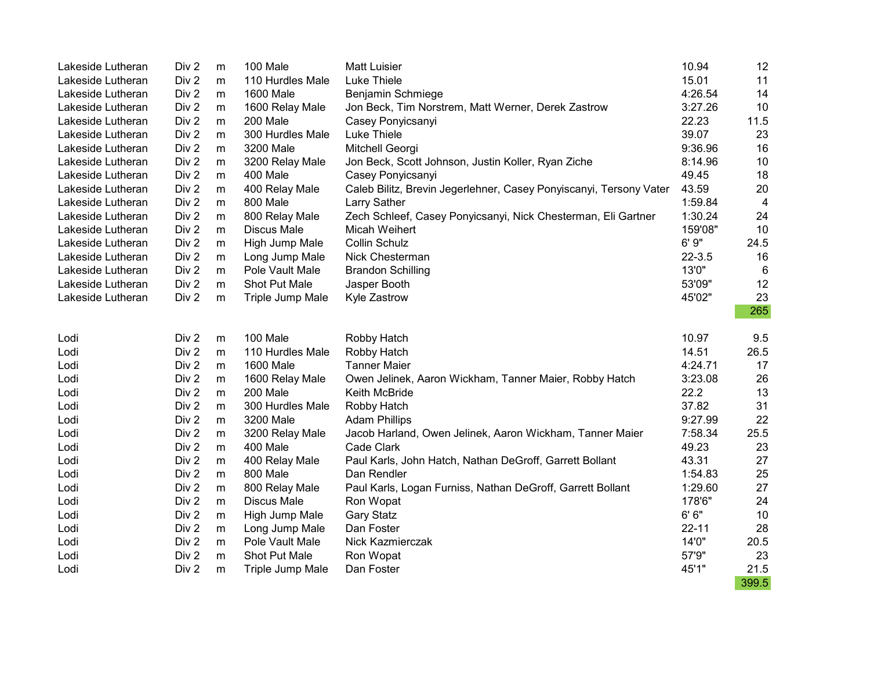| Lakeside Lutheran | Div 2 | m | 100 Male           | <b>Matt Luisier</b>                                                | 10.94      | 12   |
|-------------------|-------|---|--------------------|--------------------------------------------------------------------|------------|------|
| Lakeside Lutheran | Div 2 | m | 110 Hurdles Male   | Luke Thiele                                                        | 15.01      | 11   |
| Lakeside Lutheran | Div 2 | m | 1600 Male          | Benjamin Schmiege                                                  | 4:26.54    | 14   |
| Lakeside Lutheran | Div 2 | m | 1600 Relay Male    | Jon Beck, Tim Norstrem, Matt Werner, Derek Zastrow                 | 3:27.26    | 10   |
| Lakeside Lutheran | Div 2 | m | 200 Male           | Casey Ponyicsanyi                                                  | 22.23      | 11.5 |
| Lakeside Lutheran | Div 2 | m | 300 Hurdles Male   | Luke Thiele                                                        | 39.07      | 23   |
| Lakeside Lutheran | Div 2 | m | 3200 Male          | Mitchell Georgi                                                    | 9:36.96    | 16   |
| Lakeside Lutheran | Div 2 | m | 3200 Relay Male    | Jon Beck, Scott Johnson, Justin Koller, Ryan Ziche                 | 8:14.96    | 10   |
| Lakeside Lutheran | Div 2 | m | 400 Male           | Casey Ponyicsanyi                                                  | 49.45      | 18   |
| Lakeside Lutheran | Div 2 | m | 400 Relay Male     | Caleb Bilitz, Brevin Jegerlehner, Casey Ponyiscanyi, Tersony Vater | 43.59      | 20   |
| Lakeside Lutheran | Div 2 | m | 800 Male           | Larry Sather                                                       | 1:59.84    | 4    |
| Lakeside Lutheran | Div 2 | m | 800 Relay Male     | Zech Schleef, Casey Ponyicsanyi, Nick Chesterman, Eli Gartner      | 1:30.24    | 24   |
| Lakeside Lutheran | Div 2 | m | <b>Discus Male</b> | Micah Weihert                                                      | 159'08"    | 10   |
| Lakeside Lutheran | Div 2 | m | High Jump Male     | Collin Schulz                                                      | 6'9'       | 24.5 |
| Lakeside Lutheran | Div 2 | m | Long Jump Male     | Nick Chesterman                                                    | $22 - 3.5$ | 16   |
| Lakeside Lutheran | Div 2 | m | Pole Vault Male    | <b>Brandon Schilling</b>                                           | 13'0"      | 6    |
| Lakeside Lutheran | Div 2 | m | Shot Put Male      | Jasper Booth                                                       | 53'09"     | 12   |
| Lakeside Lutheran | Div 2 | m | Triple Jump Male   | Kyle Zastrow                                                       | 45'02"     | 23   |
|                   |       |   |                    |                                                                    |            | 265  |
| Lodi              | Div 2 | m | 100 Male           | Robby Hatch                                                        | 10.97      | 9.5  |
| Lodi              | Div 2 | m | 110 Hurdles Male   | Robby Hatch                                                        | 14.51      | 26.5 |
| Lodi              | Div 2 | m | 1600 Male          | <b>Tanner Maier</b>                                                | 4:24.71    | 17   |
| Lodi              | Div 2 | m | 1600 Relay Male    | Owen Jelinek, Aaron Wickham, Tanner Maier, Robby Hatch             | 3:23.08    | 26   |
| Lodi              | Div 2 | m | 200 Male           | Keith McBride                                                      | 22.2       | 13   |
| Lodi              | Div 2 | m | 300 Hurdles Male   | Robby Hatch                                                        | 37.82      | 31   |
| Lodi              | Div 2 | m | 3200 Male          | <b>Adam Phillips</b>                                               | 9:27.99    | 22   |
| Lodi              | Div 2 | m | 3200 Relay Male    | Jacob Harland, Owen Jelinek, Aaron Wickham, Tanner Maier           | 7:58.34    | 25.5 |
| Lodi              | Div 2 | m | 400 Male           | Cade Clark                                                         | 49.23      | 23   |
| Lodi              | Div 2 | m | 400 Relay Male     | Paul Karls, John Hatch, Nathan DeGroff, Garrett Bollant            | 43.31      | 27   |
| Lodi              | Div 2 | m | 800 Male           | Dan Rendler                                                        | 1:54.83    | 25   |
| Lodi              | Div 2 | m | 800 Relay Male     | Paul Karls, Logan Furniss, Nathan DeGroff, Garrett Bollant         | 1:29.60    | 27   |
| Lodi              | Div 2 | m | <b>Discus Male</b> | Ron Wopat                                                          | 178'6"     | 24   |
| Lodi              | Div 2 | m | High Jump Male     | <b>Gary Statz</b>                                                  | 6'6''      | 10   |
| Lodi              | Div 2 | m | Long Jump Male     | Dan Foster                                                         | $22 - 11$  | 28   |
| Lodi              | Div 2 | m | Pole Vault Male    | Nick Kazmierczak                                                   | 14'0"      | 20.5 |
|                   |       |   |                    |                                                                    |            |      |
| Lodi              | Div 2 | m | Shot Put Male      | Ron Wopat                                                          | 57'9"      | 23   |
| Lodi              | Div 2 | m | Triple Jump Male   | Dan Foster                                                         | 45'1"      | 21.5 |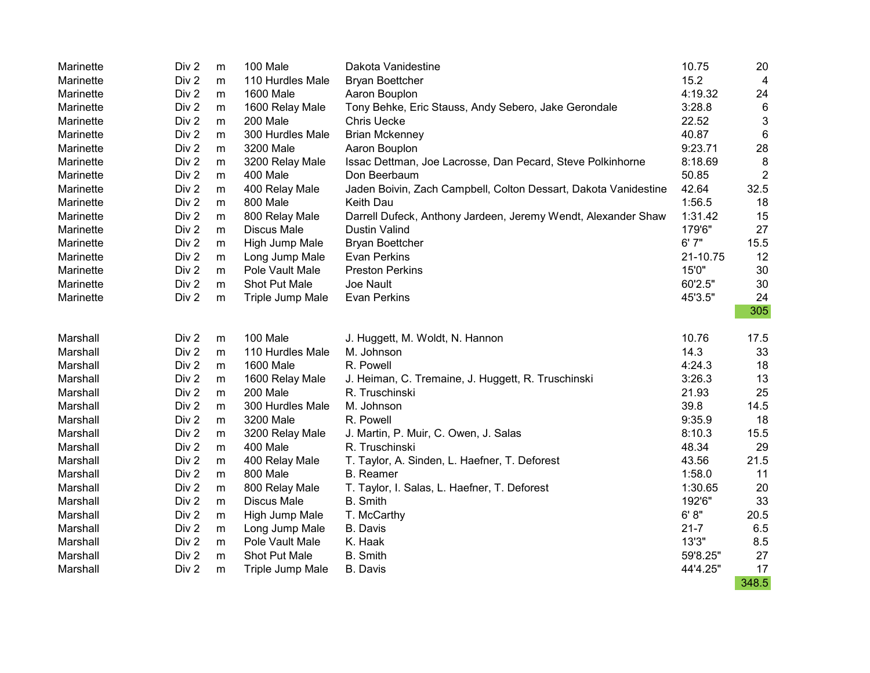| Marinette | Div 2 | m         | 100 Male           | Dakota Vanidestine                                              | 10.75    | 20             |
|-----------|-------|-----------|--------------------|-----------------------------------------------------------------|----------|----------------|
| Marinette | Div 2 | ${\sf m}$ | 110 Hurdles Male   | <b>Bryan Boettcher</b>                                          | 15.2     | $\overline{4}$ |
| Marinette | Div 2 | m         | 1600 Male          | Aaron Bouplon                                                   | 4:19.32  | 24             |
| Marinette | Div 2 | m         | 1600 Relay Male    | Tony Behke, Eric Stauss, Andy Sebero, Jake Gerondale            | 3:28.8   | 6              |
| Marinette | Div 2 | m         | 200 Male           | <b>Chris Uecke</b>                                              | 22.52    | $\sqrt{3}$     |
| Marinette | Div 2 | ${\sf m}$ | 300 Hurdles Male   | <b>Brian Mckenney</b>                                           | 40.87    | $\,6$          |
| Marinette | Div 2 | m         | 3200 Male          | Aaron Bouplon                                                   | 9:23.71  | 28             |
| Marinette | Div 2 | m         | 3200 Relay Male    | Issac Dettman, Joe Lacrosse, Dan Pecard, Steve Polkinhorne      | 8:18.69  | 8              |
| Marinette | Div 2 | m         | 400 Male           | Don Beerbaum                                                    | 50.85    | $\overline{2}$ |
| Marinette | Div 2 | m         | 400 Relay Male     | Jaden Boivin, Zach Campbell, Colton Dessart, Dakota Vanidestine | 42.64    | 32.5           |
| Marinette | Div 2 | m         | 800 Male           | Keith Dau                                                       | 1:56.5   | 18             |
| Marinette | Div 2 | m         | 800 Relay Male     | Darrell Dufeck, Anthony Jardeen, Jeremy Wendt, Alexander Shaw   | 1:31.42  | 15             |
| Marinette | Div 2 | m         | <b>Discus Male</b> | Dustin Valind                                                   | 179'6"   | 27             |
| Marinette | Div 2 | m         | High Jump Male     | <b>Bryan Boettcher</b>                                          | 6'7''    | 15.5           |
| Marinette | Div 2 | ${\sf m}$ | Long Jump Male     | <b>Evan Perkins</b>                                             | 21-10.75 | 12             |
| Marinette | Div 2 | m         | Pole Vault Male    | <b>Preston Perkins</b>                                          | 15'0"    | 30             |
| Marinette | Div 2 | m         | Shot Put Male      | Joe Nault                                                       | 60'2.5"  | 30             |
| Marinette | Div 2 | m         | Triple Jump Male   | <b>Evan Perkins</b>                                             | 45'3.5"  | 24             |
|           |       |           |                    |                                                                 |          | 305            |
|           |       |           |                    |                                                                 |          |                |
| Marshall  | Div 2 | m         | 100 Male           | J. Huggett, M. Woldt, N. Hannon                                 | 10.76    | 17.5           |
| Marshall  | Div 2 | m         | 110 Hurdles Male   | M. Johnson                                                      | 14.3     | 33             |
| Marshall  | Div 2 | m         | 1600 Male          | R. Powell                                                       | 4:24.3   | 18             |
| Marshall  | Div 2 | ${\sf m}$ | 1600 Relay Male    | J. Heiman, C. Tremaine, J. Huggett, R. Truschinski              | 3:26.3   | 13             |
| Marshall  | Div 2 | m         | 200 Male           | R. Truschinski                                                  | 21.93    | 25             |
| Marshall  | Div 2 | m         | 300 Hurdles Male   | M. Johnson                                                      | 39.8     | 14.5           |
| Marshall  | Div 2 | m         | 3200 Male          | R. Powell                                                       | 9:35.9   | 18             |
| Marshall  | Div 2 | ${\sf m}$ | 3200 Relay Male    | J. Martin, P. Muir, C. Owen, J. Salas                           | 8:10.3   | 15.5           |
| Marshall  | Div 2 | m         | 400 Male           | R. Truschinski                                                  | 48.34    | 29             |
| Marshall  | Div 2 | m         | 400 Relay Male     | T. Taylor, A. Sinden, L. Haefner, T. Deforest                   | 43.56    | 21.5           |
| Marshall  | Div 2 | m         | 800 Male           | <b>B.</b> Reamer                                                | 1:58.0   | 11             |
| Marshall  | Div 2 | m         | 800 Relay Male     | T. Taylor, I. Salas, L. Haefner, T. Deforest                    | 1:30.65  | 20             |
| Marshall  | Div 2 | ${\sf m}$ | <b>Discus Male</b> | <b>B.</b> Smith                                                 | 192'6"   | 33             |
| Marshall  | Div 2 | m         | High Jump Male     | T. McCarthy                                                     | 6' 8''   | 20.5           |
| Marshall  | Div 2 | m         | Long Jump Male     | <b>B.</b> Davis                                                 | $21 - 7$ | 6.5            |
| Marshall  | Div 2 | m         | Pole Vault Male    | K. Haak                                                         | 13'3"    | 8.5            |
| Marshall  | Div 2 | ${\sf m}$ | Shot Put Male      | <b>B.</b> Smith                                                 | 59'8.25" | 27             |
| Marshall  | Div 2 | m         | Triple Jump Male   | <b>B.</b> Davis                                                 | 44'4.25" | 17             |
|           |       |           |                    |                                                                 |          | 348.5          |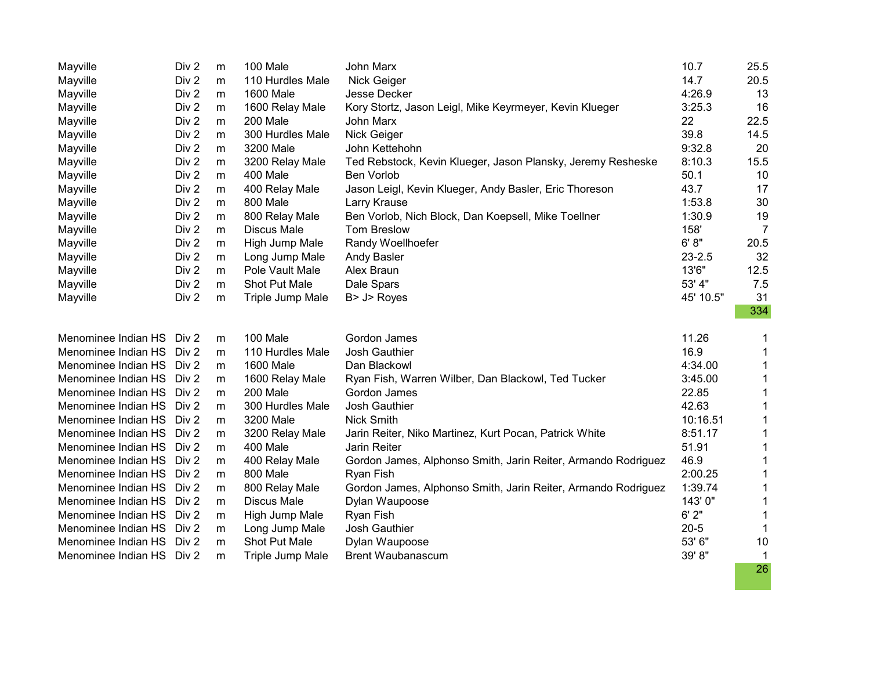| Mayville                  | Div <sub>2</sub> | m | 100 Male           | John Marx                                                     | 10.7       | 25.5           |
|---------------------------|------------------|---|--------------------|---------------------------------------------------------------|------------|----------------|
| Mayville                  | Div 2            | m | 110 Hurdles Male   | Nick Geiger                                                   | 14.7       | 20.5           |
| Mayville                  | Div 2            | m | 1600 Male          | Jesse Decker                                                  | 4:26.9     | 13             |
| Mayville                  | Div 2            | m | 1600 Relay Male    | Kory Stortz, Jason Leigl, Mike Keyrmeyer, Kevin Klueger       | 3:25.3     | 16             |
| Mayville                  | Div 2            | m | 200 Male           | John Marx                                                     | 22         | 22.5           |
| Mayville                  | Div 2            | m | 300 Hurdles Male   | Nick Geiger                                                   | 39.8       | 14.5           |
| Mayville                  | Div 2            | m | 3200 Male          | John Kettehohn                                                | 9:32.8     | 20             |
| Mayville                  | Div 2            | m | 3200 Relay Male    | Ted Rebstock, Kevin Klueger, Jason Plansky, Jeremy Resheske   | 8:10.3     | 15.5           |
| Mayville                  | Div 2            | m | 400 Male           | <b>Ben Vorlob</b>                                             | 50.1       | 10             |
| Mayville                  | Div 2            | m | 400 Relay Male     | Jason Leigl, Kevin Klueger, Andy Basler, Eric Thoreson        | 43.7       | 17             |
| Mayville                  | Div 2            | m | 800 Male           | Larry Krause                                                  | 1:53.8     | 30             |
| Mayville                  | Div 2            | m | 800 Relay Male     | Ben Vorlob, Nich Block, Dan Koepsell, Mike Toellner           | 1:30.9     | 19             |
| Mayville                  | Div <sub>2</sub> | m | <b>Discus Male</b> | <b>Tom Breslow</b>                                            | 158'       | $\overline{7}$ |
| Mayville                  | Div 2            | m | High Jump Male     | Randy Woellhoefer                                             | 6' 8''     | 20.5           |
| Mayville                  | Div 2            | m | Long Jump Male     | Andy Basler                                                   | $23 - 2.5$ | 32             |
| Mayville                  | Div 2            | m | Pole Vault Male    | Alex Braun                                                    | 13'6"      | 12.5           |
| Mayville                  | Div 2            | m | Shot Put Male      | Dale Spars                                                    | 53' 4"     | 7.5            |
| Mayville                  | Div 2            | m | Triple Jump Male   | B> J> Royes                                                   | 45' 10.5"  | 31             |
|                           |                  |   |                    |                                                               |            | 334            |
|                           |                  |   |                    |                                                               |            |                |
| Menominee Indian HS Div 2 |                  | m | 100 Male           | Gordon James                                                  | 11.26      | 1              |
| Menominee Indian HS       | Div 2            | m | 110 Hurdles Male   | Josh Gauthier                                                 | 16.9       | 1              |
| Menominee Indian HS       | Div 2            | m | <b>1600 Male</b>   | Dan Blackowl                                                  | 4:34.00    | $\mathbf 1$    |
| Menominee Indian HS       | Div 2            | m | 1600 Relay Male    | Ryan Fish, Warren Wilber, Dan Blackowl, Ted Tucker            | 3:45.00    | 1              |
| Menominee Indian HS Div 2 |                  | m | 200 Male           | Gordon James                                                  | 22.85      | 1              |
| Menominee Indian HS Div 2 |                  | m | 300 Hurdles Male   | Josh Gauthier                                                 | 42.63      | 1              |
| Menominee Indian HS Div 2 |                  | m | 3200 Male          | <b>Nick Smith</b>                                             | 10:16.51   | 1              |
| Menominee Indian HS Div 2 |                  | m | 3200 Relay Male    | Jarin Reiter, Niko Martinez, Kurt Pocan, Patrick White        | 8:51.17    | 1              |
| Menominee Indian HS Div 2 |                  | m | 400 Male           | Jarin Reiter                                                  | 51.91      | 1              |
| Menominee Indian HS       | Div 2            | m | 400 Relay Male     | Gordon James, Alphonso Smith, Jarin Reiter, Armando Rodriguez | 46.9       | 1              |
| Menominee Indian HS Div 2 |                  | m | 800 Male           | Ryan Fish                                                     | 2:00.25    | 1              |
| Menominee Indian HS Div 2 |                  | m | 800 Relay Male     | Gordon James, Alphonso Smith, Jarin Reiter, Armando Rodriguez | 1:39.74    | 1              |
| Menominee Indian HS Div 2 |                  | m | <b>Discus Male</b> | Dylan Waupoose                                                | 143'0"     | 1              |
| Menominee Indian HS       | Div 2            | m | High Jump Male     | Ryan Fish                                                     | 6'2"       | 1              |
| Menominee Indian HS       | Div 2            | m | Long Jump Male     | Josh Gauthier                                                 | $20 - 5$   | 1              |
| Menominee Indian HS       | Div 2            | m | Shot Put Male      | Dylan Waupoose                                                | 53' 6"     | 10             |
| Menominee Indian HS Div 2 |                  | m | Triple Jump Male   | <b>Brent Waubanascum</b>                                      | 39' 8"     | 1              |
|                           |                  |   |                    |                                                               |            | 26             |
|                           |                  |   |                    |                                                               |            |                |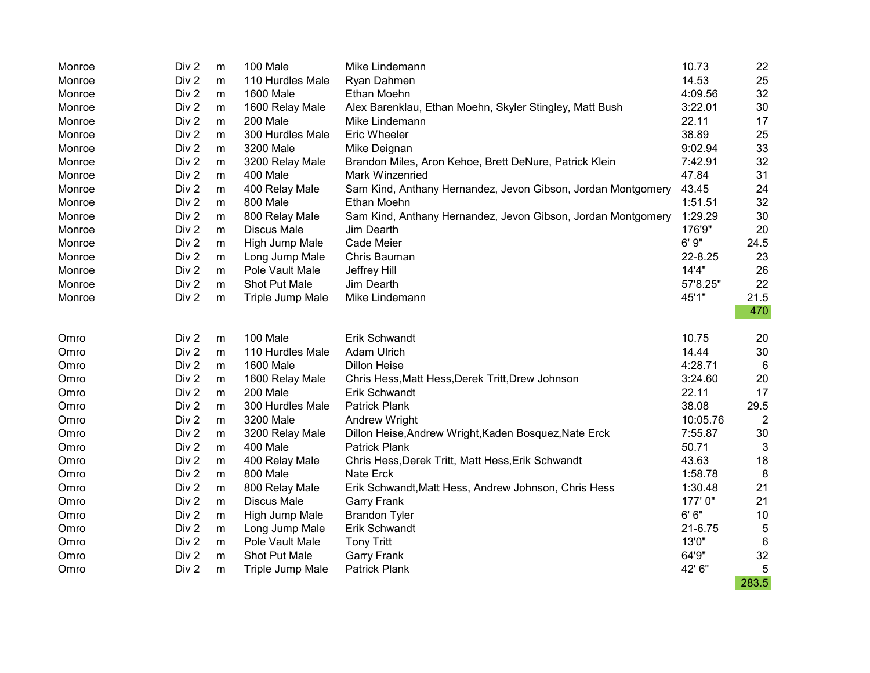| Monroe | Div 2 | m         | 100 Male           | Mike Lindemann                                               | 10.73    | 22             |
|--------|-------|-----------|--------------------|--------------------------------------------------------------|----------|----------------|
| Monroe | Div 2 | ${\sf m}$ | 110 Hurdles Male   | Ryan Dahmen                                                  | 14.53    | 25             |
| Monroe | Div 2 | m         | 1600 Male          | Ethan Moehn                                                  | 4:09.56  | 32             |
| Monroe | Div 2 | m         | 1600 Relay Male    | Alex Barenklau, Ethan Moehn, Skyler Stingley, Matt Bush      | 3:22.01  | 30             |
| Monroe | Div 2 | m         | 200 Male           | Mike Lindemann                                               | 22.11    | 17             |
| Monroe | Div 2 | m         | 300 Hurdles Male   | <b>Eric Wheeler</b>                                          | 38.89    | 25             |
| Monroe | Div 2 | m         | 3200 Male          | Mike Deignan                                                 | 9:02.94  | 33             |
| Monroe | Div 2 | m         | 3200 Relay Male    | Brandon Miles, Aron Kehoe, Brett DeNure, Patrick Klein       | 7:42.91  | 32             |
| Monroe | Div 2 | m         | 400 Male           | Mark Winzenried                                              | 47.84    | 31             |
| Monroe | Div 2 | m         | 400 Relay Male     | Sam Kind, Anthany Hernandez, Jevon Gibson, Jordan Montgomery | 43.45    | 24             |
| Monroe | Div 2 | m         | 800 Male           | Ethan Moehn                                                  | 1:51.51  | 32             |
| Monroe | Div 2 | m         | 800 Relay Male     | Sam Kind, Anthany Hernandez, Jevon Gibson, Jordan Montgomery | 1:29.29  | 30             |
| Monroe | Div 2 | ${\sf m}$ | <b>Discus Male</b> | Jim Dearth                                                   | 176'9"   | 20             |
| Monroe | Div 2 | ${\sf m}$ | High Jump Male     | Cade Meier                                                   | 6'9''    | 24.5           |
| Monroe | Div 2 | m         | Long Jump Male     | Chris Bauman                                                 | 22-8.25  | 23             |
| Monroe | Div 2 | m         | Pole Vault Male    | Jeffrey Hill                                                 | 14'4"    | 26             |
| Monroe | Div 2 | m         | Shot Put Male      | Jim Dearth                                                   | 57'8.25" | 22             |
| Monroe | Div 2 | m         | Triple Jump Male   | Mike Lindemann                                               | 45'1"    | 21.5           |
|        |       |           |                    |                                                              |          | 470            |
|        |       |           |                    |                                                              |          |                |
| Omro   | Div 2 | m         | 100 Male           | Erik Schwandt                                                | 10.75    | 20             |
| Omro   | Div 2 | m         | 110 Hurdles Male   | <b>Adam Ulrich</b>                                           | 14.44    | 30             |
| Omro   | Div 2 | m         | 1600 Male          | <b>Dillon Heise</b>                                          | 4:28.71  | 6              |
| Omro   | Div 2 | m         | 1600 Relay Male    | Chris Hess, Matt Hess, Derek Tritt, Drew Johnson             | 3:24.60  | 20             |
| Omro   | Div 2 | ${\sf m}$ | 200 Male           | Erik Schwandt                                                | 22.11    | 17             |
| Omro   | Div 2 | m         | 300 Hurdles Male   | <b>Patrick Plank</b>                                         | 38.08    | 29.5           |
| Omro   | Div 2 | m         | 3200 Male          | Andrew Wright                                                | 10:05.76 | $\overline{2}$ |
| Omro   | Div 2 | m         | 3200 Relay Male    | Dillon Heise, Andrew Wright, Kaden Bosquez, Nate Erck        | 7:55.87  | 30             |
| Omro   | Div 2 | m         | 400 Male           | <b>Patrick Plank</b>                                         | 50.71    | 3              |
| Omro   | Div 2 | ${\sf m}$ | 400 Relay Male     | Chris Hess, Derek Tritt, Matt Hess, Erik Schwandt            | 43.63    | 18             |
| Omro   | Div 2 | ${\sf m}$ | 800 Male           | Nate Erck                                                    | 1:58.78  | 8              |
| Omro   | Div 2 | m         | 800 Relay Male     | Erik Schwandt, Matt Hess, Andrew Johnson, Chris Hess         | 1:30.48  | 21             |
| Omro   | Div 2 | m         | <b>Discus Male</b> | <b>Garry Frank</b>                                           | 177'0"   | 21             |
| Omro   | Div 2 | m         | High Jump Male     | <b>Brandon Tyler</b>                                         | 6' 6''   | 10             |
| Omro   | Div 2 | ${\sf m}$ | Long Jump Male     | Erik Schwandt                                                | 21-6.75  | 5              |
| Omro   | Div 2 | m         | Pole Vault Male    | <b>Tony Tritt</b>                                            | 13'0"    | 6              |
| Omro   | Div 2 | m         | Shot Put Male      | <b>Garry Frank</b>                                           | 64'9"    | 32             |
| Omro   | Div 2 | m         | Triple Jump Male   | <b>Patrick Plank</b>                                         | 42' 6"   | 5              |
|        |       |           |                    |                                                              |          | 283.5          |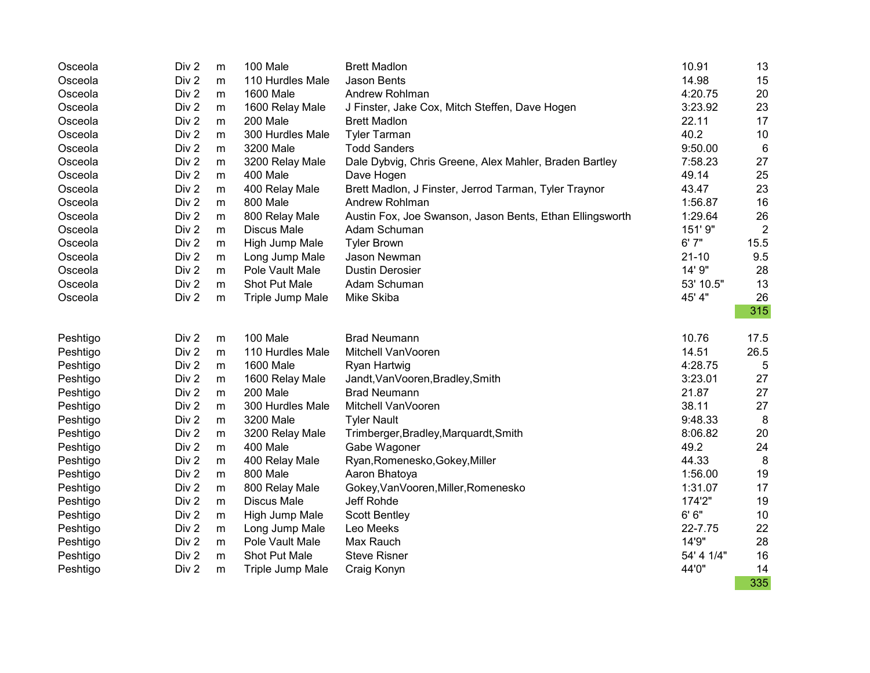| Osceola              | Div <sub>2</sub> | m         | 100 Male                          | <b>Brett Madlon</b>                                      | 10.91            | 13              |
|----------------------|------------------|-----------|-----------------------------------|----------------------------------------------------------|------------------|-----------------|
| Osceola              | Div 2            | m         | 110 Hurdles Male                  | Jason Bents                                              | 14.98            | 15              |
| Osceola              | Div <sub>2</sub> | m         | 1600 Male                         | Andrew Rohlman                                           | 4:20.75          | 20              |
| Osceola              | Div 2            | m         | 1600 Relay Male                   | J Finster, Jake Cox, Mitch Steffen, Dave Hogen           | 3:23.92          | 23              |
| Osceola              | Div <sub>2</sub> | m         | 200 Male                          | <b>Brett Madlon</b>                                      | 22.11            | 17              |
| Osceola              | Div <sub>2</sub> | m         | 300 Hurdles Male                  | <b>Tyler Tarman</b>                                      | 40.2             | 10              |
| Osceola              | Div 2            | m         | 3200 Male                         | <b>Todd Sanders</b>                                      | 9:50.00          | $6\phantom{1}6$ |
| Osceola              | Div 2            | m         | 3200 Relay Male                   | Dale Dybvig, Chris Greene, Alex Mahler, Braden Bartley   | 7:58.23          | 27              |
| Osceola              | Div <sub>2</sub> | m         | 400 Male                          | Dave Hogen                                               | 49.14            | 25              |
| Osceola              | Div <sub>2</sub> | m         | 400 Relay Male                    | Brett Madlon, J Finster, Jerrod Tarman, Tyler Traynor    | 43.47            | 23              |
| Osceola              | Div 2            | ${\sf m}$ | 800 Male                          | Andrew Rohlman                                           | 1:56.87          | 16              |
| Osceola              | Div <sub>2</sub> | m         | 800 Relay Male                    | Austin Fox, Joe Swanson, Jason Bents, Ethan Ellingsworth | 1:29.64          | 26              |
| Osceola              | Div 2            | m         | <b>Discus Male</b>                | Adam Schuman                                             | 151' 9"          | $\overline{2}$  |
| Osceola              | Div <sub>2</sub> | m         | High Jump Male                    | <b>Tyler Brown</b>                                       | 6'7"             | 15.5            |
| Osceola              | Div 2            | ${\sf m}$ | Long Jump Male                    | Jason Newman                                             | $21 - 10$        | 9.5             |
| Osceola              | Div <sub>2</sub> | m         | Pole Vault Male                   | <b>Dustin Derosier</b>                                   | 14' 9"           | 28              |
| Osceola              | Div 2            | m         | Shot Put Male                     | Adam Schuman                                             | 53' 10.5"        | 13              |
| Osceola              | Div 2            | m         | Triple Jump Male                  | Mike Skiba                                               | 45' 4"           | 26              |
|                      |                  |           |                                   |                                                          |                  | 315             |
|                      |                  |           |                                   |                                                          |                  |                 |
|                      |                  |           |                                   |                                                          |                  |                 |
| Peshtigo             | Div 2            | m         | 100 Male                          | <b>Brad Neumann</b>                                      | 10.76            | 17.5            |
| Peshtigo             | Div <sub>2</sub> | m         | 110 Hurdles Male                  | Mitchell VanVooren                                       | 14.51            | 26.5            |
| Peshtigo             | Div 2            | m         | <b>1600 Male</b>                  | Ryan Hartwig                                             | 4:28.75          | 5               |
| Peshtigo             | Div 2            | m         | 1600 Relay Male                   | Jandt, Van Vooren, Bradley, Smith                        | 3:23.01          | 27              |
| Peshtigo             | Div <sub>2</sub> | ${\sf m}$ | 200 Male                          | <b>Brad Neumann</b>                                      | 21.87            | 27              |
| Peshtigo             | Div 2            | m         | 300 Hurdles Male                  | Mitchell VanVooren                                       | 38.11            | 27              |
| Peshtigo             | Div 2            | m<br>m    | 3200 Male                         | <b>Tyler Nault</b>                                       | 9:48.33          | 8               |
| Peshtigo             | Div <sub>2</sub> |           | 3200 Relay Male                   | Trimberger, Bradley, Marquardt, Smith                    | 8:06.82          | 20              |
| Peshtigo             | Div <sub>2</sub> | m<br>m    | 400 Male                          | Gabe Wagoner                                             | 49.2             | 24              |
| Peshtigo             | Div <sub>2</sub> | m         | 400 Relay Male<br>800 Male        | Ryan, Romenesko, Gokey, Miller                           | 44.33<br>1:56.00 | 8               |
| Peshtigo             | Div 2            |           |                                   | Aaron Bhatoya                                            |                  | 19              |
| Peshtigo             | Div <sub>2</sub> | m<br>m    | 800 Relay Male                    | Gokey, Van Vooren, Miller, Romenesko                     | 1:31.07          | 17              |
| Peshtigo             | Div 2            | m         | <b>Discus Male</b>                | Jeff Rohde                                               | 174'2"           | 19              |
| Peshtigo             | Div 2<br>Div 2   | m         | High Jump Male                    | <b>Scott Bentley</b>                                     | 6'6''<br>22-7.75 | 10              |
| Peshtigo             | Div 2            | m         | Long Jump Male<br>Pole Vault Male | Leo Meeks                                                | 14'9"            | 22<br>28        |
| Peshtigo             | Div 2            | ${\sf m}$ | Shot Put Male                     | Max Rauch<br><b>Steve Risner</b>                         | 54' 4 1/4"       | 16              |
| Peshtigo<br>Peshtigo | Div <sub>2</sub> | m         | Triple Jump Male                  | Craig Konyn                                              | 44'0"            | 14              |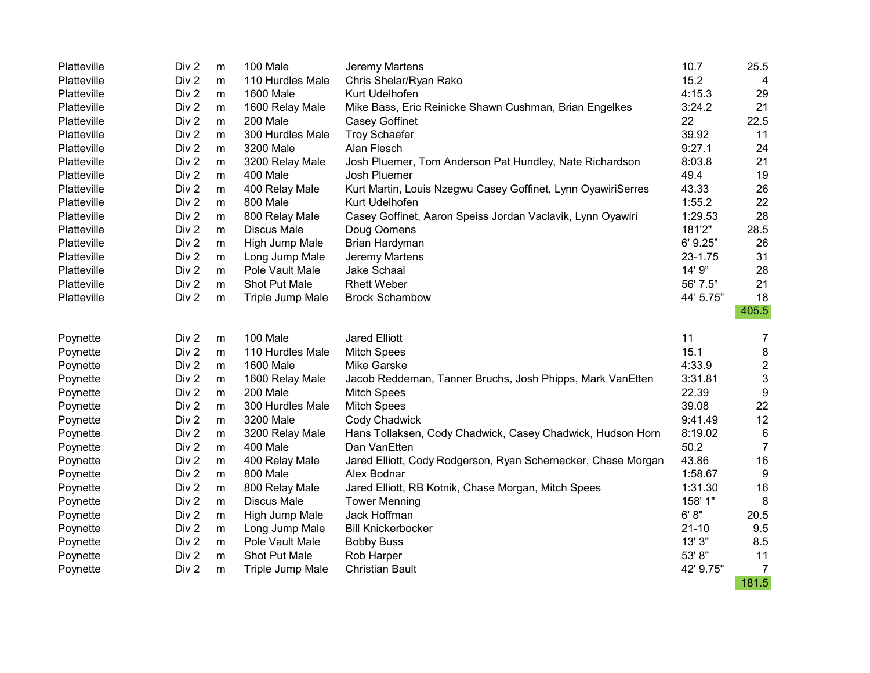| Platteville | Div <sub>2</sub> | m         | 100 Male           | Jeremy Martens                                                | 10.7      | 25.5                    |
|-------------|------------------|-----------|--------------------|---------------------------------------------------------------|-----------|-------------------------|
| Platteville | Div 2            | m         | 110 Hurdles Male   | Chris Shelar/Ryan Rako                                        | 15.2      | 4                       |
| Platteville | Div 2            | m         | <b>1600 Male</b>   | Kurt Udelhofen                                                | 4:15.3    | 29                      |
| Platteville | Div 2            | m         | 1600 Relay Male    | Mike Bass, Eric Reinicke Shawn Cushman, Brian Engelkes        | 3:24.2    | 21                      |
| Platteville | Div 2            | ${\sf m}$ | 200 Male           | Casey Goffinet                                                | 22        | 22.5                    |
| Platteville | Div 2            | m         | 300 Hurdles Male   | <b>Troy Schaefer</b>                                          | 39.92     | 11                      |
| Platteville | Div 2            | m         | 3200 Male          | Alan Flesch                                                   | 9:27.1    | 24                      |
| Platteville | Div 2            | m         | 3200 Relay Male    | Josh Pluemer, Tom Anderson Pat Hundley, Nate Richardson       | 8:03.8    | 21                      |
| Platteville | Div 2            | ${\sf m}$ | 400 Male           | <b>Josh Pluemer</b>                                           | 49.4      | 19                      |
| Platteville | Div 2            | m         | 400 Relay Male     | Kurt Martin, Louis Nzegwu Casey Goffinet, Lynn OyawiriSerres  | 43.33     | 26                      |
| Platteville | Div 2            | m         | 800 Male           | Kurt Udelhofen                                                | 1:55.2    | 22                      |
| Platteville | Div 2            | m         | 800 Relay Male     | Casey Goffinet, Aaron Speiss Jordan Vaclavik, Lynn Oyawiri    | 1:29.53   | 28                      |
| Platteville | Div 2            | m         | <b>Discus Male</b> | Doug Oomens                                                   | 181'2"    | 28.5                    |
| Platteville | Div 2            | m         | High Jump Male     | Brian Hardyman                                                | 6' 9.25"  | 26                      |
| Platteville | Div 2            | m         | Long Jump Male     | Jeremy Martens                                                | 23-1.75   | 31                      |
| Platteville | Div 2            | m         | Pole Vault Male    | Jake Schaal                                                   | 14' 9"    | 28                      |
| Platteville | Div 2            | m         | Shot Put Male      | <b>Rhett Weber</b>                                            | 56' 7.5"  | 21                      |
| Platteville | Div 2            | m         | Triple Jump Male   | <b>Brock Schambow</b>                                         | 44' 5.75" | 18                      |
|             |                  |           |                    |                                                               |           | 405.5                   |
|             |                  |           |                    |                                                               |           |                         |
|             |                  |           |                    |                                                               |           |                         |
| Poynette    | Div 2            | m         | 100 Male           | <b>Jared Elliott</b>                                          | 11        | $\overline{7}$          |
| Poynette    | Div 2            | m         | 110 Hurdles Male   | <b>Mitch Spees</b>                                            | 15.1      | $\bf 8$                 |
| Poynette    | Div 2            | m         | 1600 Male          | <b>Mike Garske</b>                                            | 4:33.9    | $\sqrt{2}$              |
| Poynette    | Div 2            | m         | 1600 Relay Male    | Jacob Reddeman, Tanner Bruchs, Josh Phipps, Mark VanEtten     | 3:31.81   | $\mathbf{3}$            |
| Poynette    | Div 2            | m         | 200 Male           | <b>Mitch Spees</b>                                            | 22.39     | 9                       |
| Poynette    | Div 2            | m         | 300 Hurdles Male   | <b>Mitch Spees</b>                                            | 39.08     | 22                      |
| Poynette    | Div 2            | m         | 3200 Male          | Cody Chadwick                                                 | 9:41.49   | 12                      |
| Poynette    | Div 2            | m         | 3200 Relay Male    | Hans Tollaksen, Cody Chadwick, Casey Chadwick, Hudson Horn    | 8:19.02   | $6\phantom{1}$          |
| Poynette    | Div 2            | m         | 400 Male           | Dan VanEtten                                                  | 50.2      | $\overline{7}$          |
| Poynette    | Div 2            | m         | 400 Relay Male     | Jared Elliott, Cody Rodgerson, Ryan Schernecker, Chase Morgan | 43.86     | 16                      |
| Poynette    | Div 2            | m         | 800 Male           | Alex Bodnar                                                   | 1:58.67   | 9                       |
| Poynette    | Div 2            | m         | 800 Relay Male     | Jared Elliott, RB Kotnik, Chase Morgan, Mitch Spees           | 1:31.30   | 16                      |
| Poynette    | Div 2            | m         | Discus Male        | <b>Tower Menning</b>                                          | 158' 1"   | 8                       |
| Poynette    | Div 2            | m         | High Jump Male     | Jack Hoffman                                                  | 6' 8''    | 20.5                    |
| Poynette    | Div 2            | m         | Long Jump Male     | <b>Bill Knickerbocker</b>                                     | $21 - 10$ | 9.5                     |
| Poynette    | Div 2            | m         | Pole Vault Male    | <b>Bobby Buss</b>                                             | 13' 3"    | 8.5                     |
| Poynette    | Div 2            | ${\sf m}$ | Shot Put Male      | Rob Harper                                                    | 53' 8"    | 11                      |
| Poynette    | Div 2            | m         | Triple Jump Male   | <b>Christian Bault</b>                                        | 42' 9.75" | $\overline{7}$<br>181.5 |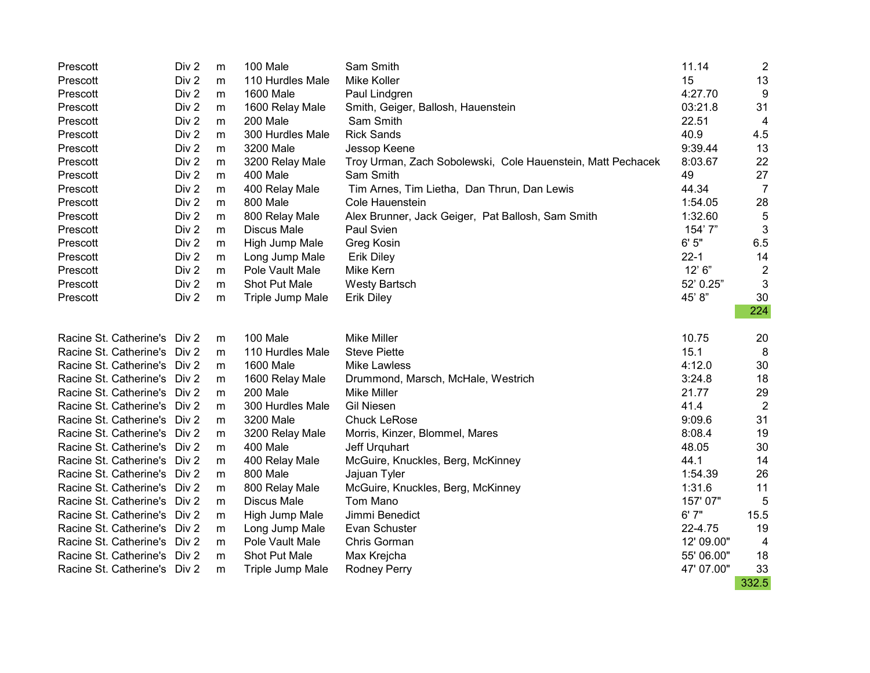| Prescott                     | Div <sub>2</sub> | m | 100 Male           | Sam Smith                                                   | 11.14      | $\overline{2}$ |
|------------------------------|------------------|---|--------------------|-------------------------------------------------------------|------------|----------------|
| Prescott                     | Div 2            | m | 110 Hurdles Male   | <b>Mike Koller</b>                                          | 15         | 13             |
| Prescott                     | Div 2            | m | <b>1600 Male</b>   | Paul Lindgren                                               | 4:27.70    | 9              |
| Prescott                     | Div 2            | m | 1600 Relay Male    | Smith, Geiger, Ballosh, Hauenstein                          | 03:21.8    | 31             |
| Prescott                     | Div 2            | m | 200 Male           | Sam Smith                                                   | 22.51      | $\overline{4}$ |
| Prescott                     | Div 2            | m | 300 Hurdles Male   | <b>Rick Sands</b>                                           | 40.9       | 4.5            |
| Prescott                     | Div 2            | m | 3200 Male          | Jessop Keene                                                | 9:39.44    | 13             |
| Prescott                     | Div 2            | m | 3200 Relay Male    | Troy Urman, Zach Sobolewski, Cole Hauenstein, Matt Pechacek | 8:03.67    | 22             |
| Prescott                     | Div <sub>2</sub> | m | 400 Male           | Sam Smith                                                   | 49         | 27             |
| Prescott                     | Div 2            | m | 400 Relay Male     | Tim Arnes, Tim Lietha, Dan Thrun, Dan Lewis                 | 44.34      | $\overline{7}$ |
| Prescott                     | Div <sub>2</sub> | m | 800 Male           | Cole Hauenstein                                             | 1:54.05    | 28             |
| Prescott                     | Div 2            | m | 800 Relay Male     | Alex Brunner, Jack Geiger, Pat Ballosh, Sam Smith           | 1:32.60    | 5              |
| Prescott                     | Div 2            | m | Discus Male        | Paul Svien                                                  | 154'7"     | 3              |
| Prescott                     | Div <sub>2</sub> | m | High Jump Male     | Greg Kosin                                                  | 6'5''      | 6.5            |
| Prescott                     | Div <sub>2</sub> | m | Long Jump Male     | Erik Diley                                                  | $22 - 1$   | 14             |
| Prescott                     | Div 2            | m | Pole Vault Male    | Mike Kern                                                   | 12' 6''    | $\overline{2}$ |
| Prescott                     | Div 2            | m | Shot Put Male      | <b>Westy Bartsch</b>                                        | 52' 0.25"  | 3              |
| Prescott                     | Div 2            | m | Triple Jump Male   | <b>Erik Diley</b>                                           | 45' 8"     | 30             |
|                              |                  |   |                    |                                                             |            | 224            |
|                              |                  |   |                    |                                                             |            |                |
| Racine St. Catherine's Div 2 |                  | m | 100 Male           | <b>Mike Miller</b>                                          | 10.75      | 20             |
| Racine St. Catherine's Div 2 |                  | m | 110 Hurdles Male   | <b>Steve Piette</b>                                         | 15.1       | 8              |
| Racine St. Catherine's Div 2 |                  | m | 1600 Male          | <b>Mike Lawless</b>                                         | 4:12.0     | 30             |
| Racine St. Catherine's Div 2 |                  | m | 1600 Relay Male    | Drummond, Marsch, McHale, Westrich                          | 3:24.8     | 18             |
| Racine St. Catherine's Div 2 |                  | m | 200 Male           | Mike Miller                                                 | 21.77      | 29             |
| Racine St. Catherine's Div 2 |                  | m | 300 Hurdles Male   | <b>Gil Niesen</b>                                           | 41.4       | $\overline{2}$ |
| Racine St. Catherine's Div 2 |                  | m | 3200 Male          | <b>Chuck LeRose</b>                                         | 9:09.6     | 31             |
| Racine St. Catherine's Div 2 |                  | m | 3200 Relay Male    | Morris, Kinzer, Blommel, Mares                              | 8:08.4     | 19             |
| Racine St. Catherine's Div 2 |                  | m | 400 Male           | Jeff Urquhart                                               | 48.05      | 30             |
| Racine St. Catherine's Div 2 |                  | m | 400 Relay Male     | McGuire, Knuckles, Berg, McKinney                           | 44.1       | 14             |
| Racine St. Catherine's Div 2 |                  | m | 800 Male           | Jajuan Tyler                                                | 1:54.39    | 26             |
| Racine St. Catherine's Div 2 |                  | m | 800 Relay Male     | McGuire, Knuckles, Berg, McKinney                           | 1:31.6     | 11             |
| Racine St. Catherine's Div 2 |                  | m | <b>Discus Male</b> | Tom Mano                                                    | 157' 07"   | 5              |
| Racine St. Catherine's Div 2 |                  | m | High Jump Male     | Jimmi Benedict                                              | 6'7''      | 15.5           |
| Racine St. Catherine's Div 2 |                  | m | Long Jump Male     | Evan Schuster                                               | 22-4.75    | 19             |
| Racine St. Catherine's Div 2 |                  | m | Pole Vault Male    | Chris Gorman                                                | 12' 09.00" | 4              |
| Racine St. Catherine's Div 2 |                  | m | Shot Put Male      | Max Krejcha                                                 | 55' 06.00" | 18             |
| Racine St. Catherine's Div 2 |                  | m | Triple Jump Male   | <b>Rodney Perry</b>                                         | 47' 07.00" | 33             |
|                              |                  |   |                    |                                                             |            | 332.5          |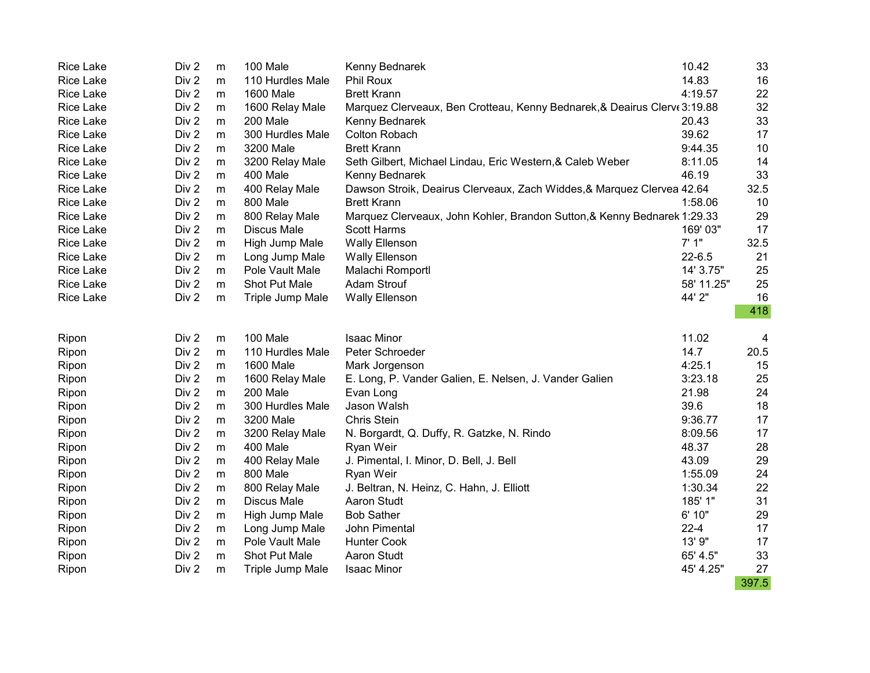| <b>Rice Lake</b> | Div 2 | m         | 100 Male           | Kenny Bednarek                                                            | 10.42      | 33          |
|------------------|-------|-----------|--------------------|---------------------------------------------------------------------------|------------|-------------|
| <b>Rice Lake</b> | Div 2 | m         | 110 Hurdles Male   | Phil Roux                                                                 | 14.83      | 16          |
| <b>Rice Lake</b> | Div 2 | m         | <b>1600 Male</b>   | <b>Brett Krann</b>                                                        | 4:19.57    | 22          |
| <b>Rice Lake</b> | Div 2 | m         | 1600 Relay Male    | Marquez Clerveaux, Ben Crotteau, Kenny Bednarek, & Deairus Clerve 3:19.88 |            | 32          |
| <b>Rice Lake</b> | Div 2 | m         | 200 Male           | Kenny Bednarek                                                            | 20.43      | 33          |
| <b>Rice Lake</b> | Div 2 | m         | 300 Hurdles Male   | <b>Colton Robach</b>                                                      | 39.62      | 17          |
| <b>Rice Lake</b> | Div 2 | m         | 3200 Male          | <b>Brett Krann</b>                                                        | 9:44.35    | 10          |
| <b>Rice Lake</b> | Div 2 | m         | 3200 Relay Male    | Seth Gilbert, Michael Lindau, Eric Western, & Caleb Weber                 | 8:11.05    | 14          |
| <b>Rice Lake</b> | Div 2 | m         | 400 Male           | Kenny Bednarek                                                            | 46.19      | 33          |
| <b>Rice Lake</b> | Div 2 | m         | 400 Relay Male     | Dawson Stroik, Deairus Clerveaux, Zach Widdes, & Marquez Clervea 42.64    |            | 32.5        |
| <b>Rice Lake</b> | Div 2 | m         | 800 Male           | <b>Brett Krann</b>                                                        | 1:58.06    | 10          |
| <b>Rice Lake</b> | Div 2 | m         | 800 Relay Male     | Marquez Clerveaux, John Kohler, Brandon Sutton, & Kenny Bednarek 1:29.33  |            | 29          |
| <b>Rice Lake</b> | Div 2 | ${\sf m}$ | <b>Discus Male</b> | <b>Scott Harms</b>                                                        | 169' 03"   | 17          |
| <b>Rice Lake</b> | Div 2 | m         | High Jump Male     | <b>Wally Ellenson</b>                                                     | 7'1"       | 32.5        |
| <b>Rice Lake</b> | Div 2 | m         | Long Jump Male     | <b>Wally Ellenson</b>                                                     | $22 - 6.5$ | 21          |
| <b>Rice Lake</b> | Div 2 | m         | Pole Vault Male    | Malachi Romportl                                                          | 14' 3.75"  | 25          |
| <b>Rice Lake</b> | Div 2 | m         | Shot Put Male      | Adam Strouf                                                               | 58' 11.25" | 25          |
| <b>Rice Lake</b> | Div 2 | ${\sf m}$ | Triple Jump Male   | <b>Wally Ellenson</b>                                                     | 44' 2"     | 16          |
|                  |       |           |                    |                                                                           |            | 418         |
| Ripon            | Div 2 | m         | 100 Male           | <b>Isaac Minor</b>                                                        | 11.02      | 4           |
| Ripon            | Div 2 | m         | 110 Hurdles Male   | Peter Schroeder                                                           | 14.7       | 20.5        |
| Ripon            | Div 2 | m         | 1600 Male          | Mark Jorgenson                                                            | 4:25.1     | 15          |
| Ripon            | Div 2 | m         | 1600 Relay Male    | E. Long, P. Vander Galien, E. Nelsen, J. Vander Galien                    | 3:23.18    | 25          |
| Ripon            | Div 2 | m         | 200 Male           | Evan Long                                                                 | 21.98      | 24          |
| Ripon            | Div 2 | m         | 300 Hurdles Male   | Jason Walsh                                                               | 39.6       | 18          |
| Ripon            | Div 2 | ${\sf m}$ | 3200 Male          | Chris Stein                                                               | 9:36.77    | 17          |
| Ripon            | Div 2 | m         | 3200 Relay Male    | N. Borgardt, Q. Duffy, R. Gatzke, N. Rindo                                | 8:09.56    | 17          |
| Ripon            | Div 2 | m         | 400 Male           | Ryan Weir                                                                 | 48.37      | 28          |
| Ripon            | Div 2 | m         | 400 Relay Male     | J. Pimental, I. Minor, D. Bell, J. Bell                                   | 43.09      | 29          |
| Ripon            | Div 2 | m         | 800 Male           | Ryan Weir                                                                 | 1:55.09    | 24          |
| Ripon            | Div 2 | m         | 800 Relay Male     | J. Beltran, N. Heinz, C. Hahn, J. Elliott                                 | 1:30.34    | 22          |
| Ripon            | Div 2 | m         | <b>Discus Male</b> | Aaron Studt                                                               | 185' 1"    | 31          |
| Ripon            | Div 2 | m         | High Jump Male     | <b>Bob Sather</b>                                                         | 6' 10"     | 29          |
| Ripon            |       |           |                    |                                                                           |            | 17          |
|                  | Div 2 | m         | Long Jump Male     | John Pimental                                                             | $22 - 4$   |             |
| Ripon            | Div 2 | m         | Pole Vault Male    | <b>Hunter Cook</b>                                                        | 13' 9"     | 17          |
| Ripon            | Div 2 | m         | Shot Put Male      | Aaron Studt                                                               | 65' 4.5"   | 33          |
| Ripon            | Div 2 | m         | Triple Jump Male   | <b>Isaac Minor</b>                                                        | 45' 4.25"  | 27<br>397.5 |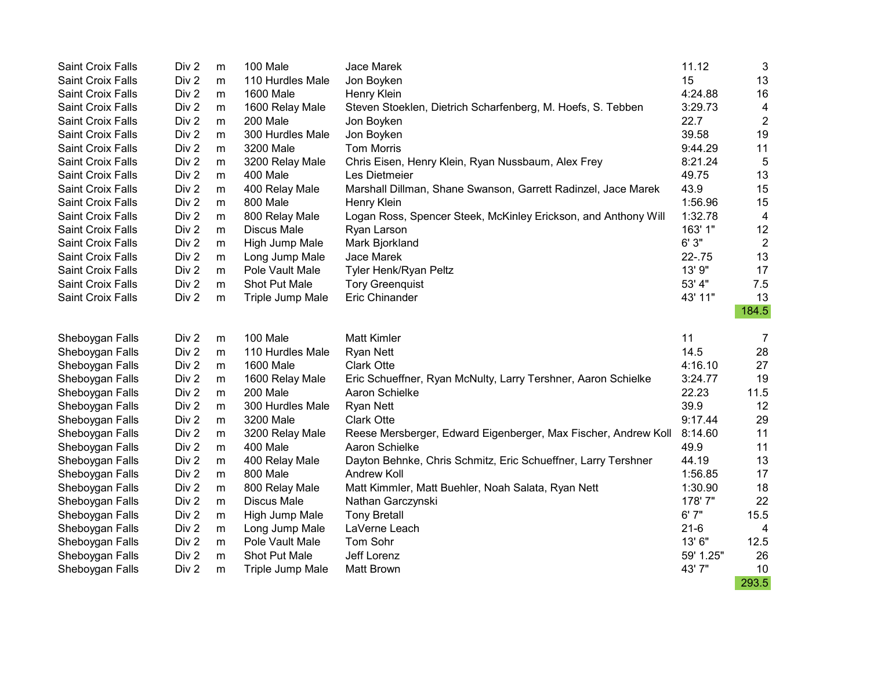| <b>Saint Croix Falls</b> | Div <sub>2</sub> | m         | 100 Male           | Jace Marek                                                     | 11.12     | 3                |
|--------------------------|------------------|-----------|--------------------|----------------------------------------------------------------|-----------|------------------|
| Saint Croix Falls        | Div 2            | m         | 110 Hurdles Male   | Jon Boyken                                                     | 15        | 13               |
| Saint Croix Falls        | Div 2            | m         | <b>1600 Male</b>   | Henry Klein                                                    | 4:24.88   | 16               |
| Saint Croix Falls        | Div 2            | m         | 1600 Relay Male    | Steven Stoeklen, Dietrich Scharfenberg, M. Hoefs, S. Tebben    | 3:29.73   | 4                |
| Saint Croix Falls        | Div 2            | m         | 200 Male           | Jon Boyken                                                     | 22.7      | $\boldsymbol{2}$ |
| Saint Croix Falls        | Div 2            | m         | 300 Hurdles Male   | Jon Boyken                                                     | 39.58     | 19               |
| Saint Croix Falls        | Div 2            | m         | 3200 Male          | <b>Tom Morris</b>                                              | 9:44.29   | 11               |
| Saint Croix Falls        | Div 2            | m         | 3200 Relay Male    | Chris Eisen, Henry Klein, Ryan Nussbaum, Alex Frey             | 8:21.24   | 5                |
| Saint Croix Falls        | Div 2            | m         | 400 Male           | Les Dietmeier                                                  | 49.75     | 13               |
| Saint Croix Falls        | Div 2            | m         | 400 Relay Male     | Marshall Dillman, Shane Swanson, Garrett Radinzel, Jace Marek  | 43.9      | 15               |
| Saint Croix Falls        | Div 2            | m         | 800 Male           | Henry Klein                                                    | 1:56.96   | 15               |
| Saint Croix Falls        | Div 2            | m         | 800 Relay Male     | Logan Ross, Spencer Steek, McKinley Erickson, and Anthony Will | 1:32.78   | 4                |
| Saint Croix Falls        | Div 2            | m         | Discus Male        | Ryan Larson                                                    | 163' 1"   | 12               |
| Saint Croix Falls        | Div 2            | m         | High Jump Male     | Mark Bjorkland                                                 | 6'3''     | $\overline{2}$   |
| Saint Croix Falls        | Div 2            | m         | Long Jump Male     | Jace Marek                                                     | $22 - 75$ | 13               |
| Saint Croix Falls        | Div 2            | m         | Pole Vault Male    | Tyler Henk/Ryan Peltz                                          | 13' 9"    | 17               |
| Saint Croix Falls        | Div 2            | m         | Shot Put Male      | <b>Tory Greenquist</b>                                         | 53' 4"    | 7.5              |
| Saint Croix Falls        | Div 2            | m         | Triple Jump Male   | Eric Chinander                                                 | 43' 11"   | 13               |
|                          |                  |           |                    |                                                                |           | 184.5            |
|                          |                  |           |                    |                                                                |           |                  |
| Sheboygan Falls          | Div 2            | m         | 100 Male           | <b>Matt Kimler</b>                                             | 11        | 7                |
| Sheboygan Falls          | Div 2            | m         | 110 Hurdles Male   | <b>Ryan Nett</b>                                               | 14.5      | 28               |
| Sheboygan Falls          | Div 2            | m         | 1600 Male          | <b>Clark Otte</b>                                              | 4:16.10   | 27               |
| Sheboygan Falls          | Div 2            | m         | 1600 Relay Male    | Eric Schueffner, Ryan McNulty, Larry Tershner, Aaron Schielke  | 3:24.77   | 19               |
| Sheboygan Falls          | Div 2            | ${\sf m}$ | 200 Male           | Aaron Schielke                                                 | 22.23     | 11.5             |
| Sheboygan Falls          | Div 2            | m         | 300 Hurdles Male   | <b>Ryan Nett</b>                                               | 39.9      | 12               |
| Sheboygan Falls          | Div 2            | m         | 3200 Male          | <b>Clark Otte</b>                                              | 9:17.44   | 29               |
| Sheboygan Falls          | Div 2            | m         | 3200 Relay Male    | Reese Mersberger, Edward Eigenberger, Max Fischer, Andrew Koll | 8:14.60   | 11               |
| Sheboygan Falls          | Div 2            | m         | 400 Male           | Aaron Schielke                                                 | 49.9      | 11               |
| Sheboygan Falls          | Div 2            | m         | 400 Relay Male     | Dayton Behnke, Chris Schmitz, Eric Schueffner, Larry Tershner  | 44.19     | 13               |
| Sheboygan Falls          | Div 2            | m         | 800 Male           | <b>Andrew Koll</b>                                             | 1:56.85   | 17               |
| Sheboygan Falls          | Div 2            | m         | 800 Relay Male     | Matt Kimmler, Matt Buehler, Noah Salata, Ryan Nett             | 1:30.90   | 18               |
| Sheboygan Falls          | Div 2            | m         | <b>Discus Male</b> | Nathan Garczynski                                              | 178'7"    | 22               |
| Sheboygan Falls          | Div 2            | m         | High Jump Male     | <b>Tony Bretall</b>                                            | 6'7''     | 15.5             |
| Sheboygan Falls          | Div 2            | m         | Long Jump Male     | LaVerne Leach                                                  | $21 - 6$  | 4                |
| Sheboygan Falls          | Div 2            | m         | Pole Vault Male    | Tom Sohr                                                       | 13' 6"    | 12.5             |
| Sheboygan Falls          | Div 2            | m         | Shot Put Male      | Jeff Lorenz                                                    | 59' 1.25" | 26               |
| Sheboygan Falls          |                  |           |                    |                                                                |           |                  |
|                          | Div <sub>2</sub> | m         | Triple Jump Male   | <b>Matt Brown</b>                                              | 43' 7"    | 10<br>293.5      |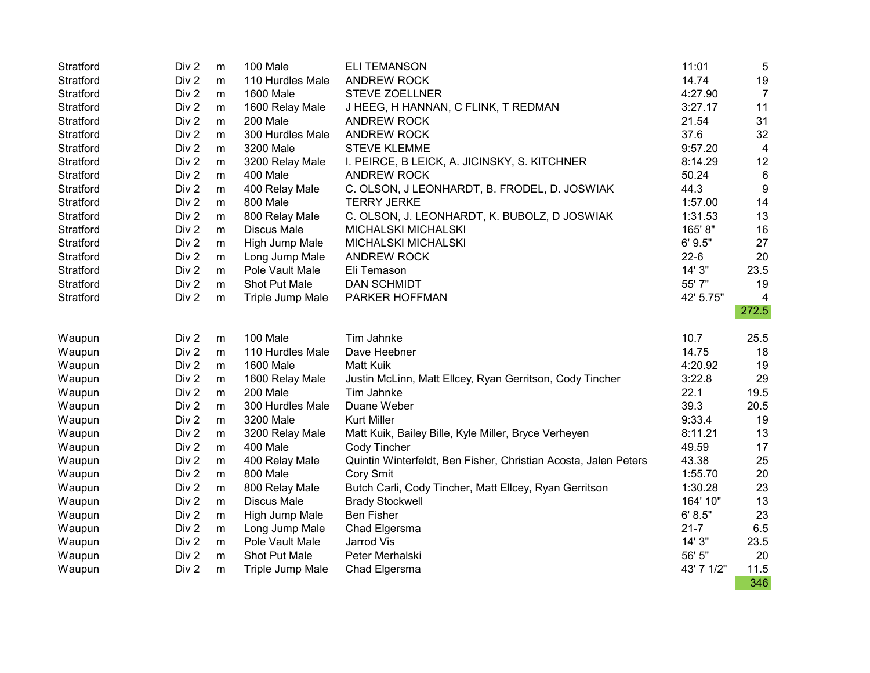| Stratford | Div <sub>2</sub> | m         | 100 Male           | <b>ELI TEMANSON</b>                                             | 11:01       | $\sqrt{5}$      |
|-----------|------------------|-----------|--------------------|-----------------------------------------------------------------|-------------|-----------------|
| Stratford | Div <sub>2</sub> | m         | 110 Hurdles Male   | <b>ANDREW ROCK</b>                                              | 14.74       | 19              |
| Stratford | Div 2            | m         | 1600 Male          | <b>STEVE ZOELLNER</b>                                           | 4:27.90     | $\overline{7}$  |
| Stratford | Div <sub>2</sub> | m         | 1600 Relay Male    | J HEEG, H HANNAN, C FLINK, T REDMAN                             | 3:27.17     | 11              |
| Stratford | Div <sub>2</sub> | m         | 200 Male           | <b>ANDREW ROCK</b>                                              | 21.54       | 31              |
| Stratford | Div 2            | m         | 300 Hurdles Male   | <b>ANDREW ROCK</b>                                              | 37.6        | 32              |
| Stratford | Div <sub>2</sub> | m         | 3200 Male          | <b>STEVE KLEMME</b>                                             | 9:57.20     | $\overline{4}$  |
| Stratford | Div <sub>2</sub> | m         | 3200 Relay Male    | I. PEIRCE, B LEICK, A. JICINSKY, S. KITCHNER                    | 8:14.29     | 12              |
| Stratford | Div <sub>2</sub> | m         | 400 Male           | <b>ANDREW ROCK</b>                                              | 50.24       | $6\phantom{1}6$ |
| Stratford | Div 2            | m         | 400 Relay Male     | C. OLSON, J LEONHARDT, B. FRODEL, D. JOSWIAK                    | 44.3        | 9               |
| Stratford | Div <sub>2</sub> | m         | 800 Male           | <b>TERRY JERKE</b>                                              | 1:57.00     | 14              |
| Stratford | Div 2            | m         | 800 Relay Male     | C. OLSON, J. LEONHARDT, K. BUBOLZ, D JOSWIAK                    | 1:31.53     | 13              |
| Stratford | Div 2            | m         | <b>Discus Male</b> | <b>MICHALSKI MICHALSKI</b>                                      | 165'8"      | 16              |
| Stratford | Div <sub>2</sub> | ${\sf m}$ | High Jump Male     | <b>MICHALSKI MICHALSKI</b>                                      | 6'9.5"      | 27              |
| Stratford | Div <sub>2</sub> | ${\sf m}$ | Long Jump Male     | <b>ANDREW ROCK</b>                                              | $22-6$      | 20              |
| Stratford | Div <sub>2</sub> | m         | Pole Vault Male    | Eli Temason                                                     | 14' 3"      | 23.5            |
| Stratford | Div <sub>2</sub> | m         | Shot Put Male      | <b>DAN SCHMIDT</b>                                              | 55' 7"      | 19              |
| Stratford | Div 2            | m         | Triple Jump Male   | PARKER HOFFMAN                                                  | 42' 5.75"   | 4               |
|           |                  |           |                    |                                                                 |             | 272.5           |
| Waupun    | Div 2            | m         | 100 Male           | Tim Jahnke                                                      | 10.7        | 25.5            |
| Waupun    | Div 2            | m         | 110 Hurdles Male   | Dave Heebner                                                    | 14.75       | 18              |
| Waupun    | Div <sub>2</sub> | m         | 1600 Male          | <b>Matt Kuik</b>                                                | 4:20.92     | 19              |
| Waupun    | Div 2            | m         | 1600 Relay Male    | Justin McLinn, Matt Ellcey, Ryan Gerritson, Cody Tincher        | 3:22.8      | 29              |
| Waupun    | Div <sub>2</sub> | m         | 200 Male           | Tim Jahnke                                                      | 22.1        | 19.5            |
| Waupun    | Div 2            | m         | 300 Hurdles Male   | Duane Weber                                                     | 39.3        | 20.5            |
| Waupun    | Div <sub>2</sub> | m         | 3200 Male          | <b>Kurt Miller</b>                                              | 9:33.4      | 19              |
| Waupun    | Div <sub>2</sub> | ${\sf m}$ | 3200 Relay Male    | Matt Kuik, Bailey Bille, Kyle Miller, Bryce Verheyen            | 8:11.21     | 13              |
| Waupun    | Div <sub>2</sub> | m         | 400 Male           | Cody Tincher                                                    | 49.59       | 17              |
| Waupun    | Div <sub>2</sub> | m         | 400 Relay Male     | Quintin Winterfeldt, Ben Fisher, Christian Acosta, Jalen Peters | 43.38       | 25              |
| Waupun    | Div <sub>2</sub> | m         | 800 Male           | Cory Smit                                                       | 1:55.70     | 20              |
| Waupun    | Div 2            | m         | 800 Relay Male     | Butch Carli, Cody Tincher, Matt Ellcey, Ryan Gerritson          | 1:30.28     | 23              |
| Waupun    | Div <sub>2</sub> | m         | <b>Discus Male</b> | <b>Brady Stockwell</b>                                          | 164' 10"    | 13              |
| Waupun    | Div 2            | m         | High Jump Male     | <b>Ben Fisher</b>                                               | 6' 8.5"     | 23              |
| Waupun    | Div 2            | m         | Long Jump Male     | Chad Elgersma                                                   | $21 - 7$    | 6.5             |
| Waupun    | Div <sub>2</sub> | m         | Pole Vault Male    | Jarrod Vis                                                      | 14' 3"      | 23.5            |
| Waupun    | Div 2            | m         | Shot Put Male      | Peter Merhalski                                                 | 56' 5"      | 20              |
| Waupun    | Div 2            | m         | Triple Jump Male   | Chad Elgersma                                                   | 43' 7' 1/2" | 11.5            |
|           |                  |           |                    |                                                                 |             |                 |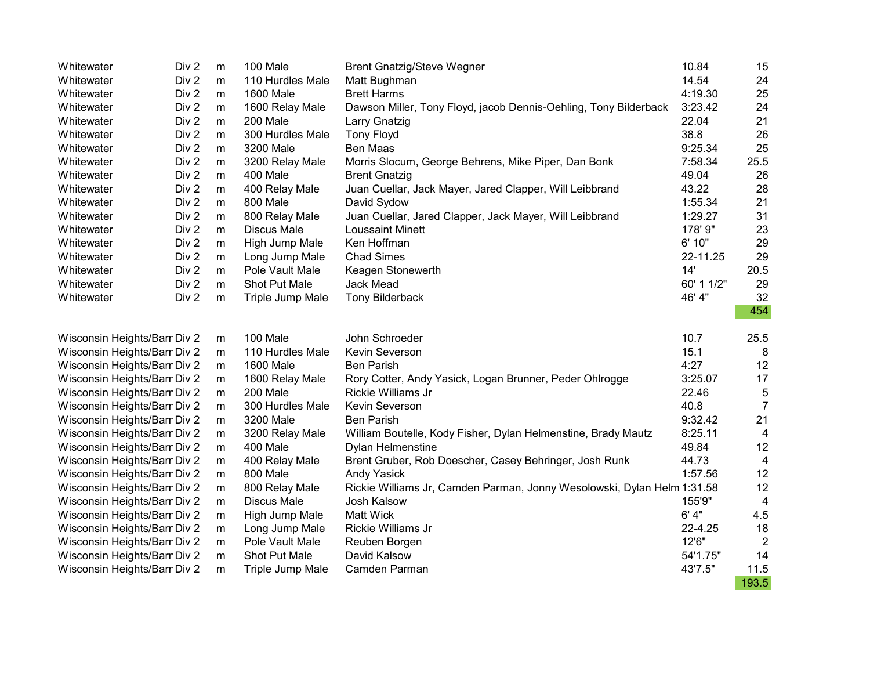| Whitewater                   | Div 2            | m         | 100 Male                          | <b>Brent Gnatzig/Steve Wegner</b>                                       | 10.84      | 15             |
|------------------------------|------------------|-----------|-----------------------------------|-------------------------------------------------------------------------|------------|----------------|
| Whitewater                   | Div 2            | m         | 110 Hurdles Male                  | Matt Bughman                                                            | 14.54      | 24             |
| Whitewater                   | Div 2            | m         | <b>1600 Male</b>                  | <b>Brett Harms</b>                                                      | 4:19.30    | 25             |
| Whitewater                   | Div 2            | m         | 1600 Relay Male                   | Dawson Miller, Tony Floyd, jacob Dennis-Oehling, Tony Bilderback        | 3:23.42    | 24             |
| Whitewater                   | Div 2            | m         | 200 Male                          | Larry Gnatzig                                                           | 22.04      | 21             |
| Whitewater                   | Div 2            | m         | 300 Hurdles Male                  | <b>Tony Floyd</b>                                                       | 38.8       | 26             |
| Whitewater                   | Div 2            | m         | 3200 Male                         | Ben Maas                                                                | 9:25.34    | 25             |
| Whitewater                   | Div <sub>2</sub> | m         | 3200 Relay Male                   | Morris Slocum, George Behrens, Mike Piper, Dan Bonk                     | 7:58.34    | 25.5           |
| Whitewater                   | Div <sub>2</sub> | m         | 400 Male                          | <b>Brent Gnatzig</b>                                                    | 49.04      | 26             |
| Whitewater                   | Div 2            | m         | 400 Relay Male                    | Juan Cuellar, Jack Mayer, Jared Clapper, Will Leibbrand                 | 43.22      | 28             |
| Whitewater                   | Div 2            | m         | 800 Male                          | David Sydow                                                             | 1:55.34    | 21             |
| Whitewater                   | Div 2            | m         | 800 Relay Male                    | Juan Cuellar, Jared Clapper, Jack Mayer, Will Leibbrand                 | 1:29.27    | 31             |
| Whitewater                   | Div 2            | m         | <b>Discus Male</b>                | <b>Loussaint Minett</b>                                                 | 178' 9"    | 23             |
| Whitewater                   | Div <sub>2</sub> | m         | High Jump Male                    | Ken Hoffman                                                             | 6' 10"     | 29             |
| Whitewater                   | Div <sub>2</sub> | m         | Long Jump Male                    | <b>Chad Simes</b>                                                       | 22-11.25   | 29             |
| Whitewater                   | Div 2            | m         | Pole Vault Male                   | Keagen Stonewerth                                                       | 14'        | 20.5           |
| Whitewater                   | Div 2            | m         | Shot Put Male                     | <b>Jack Mead</b>                                                        | 60' 1 1/2" | 29             |
| Whitewater                   | Div 2            | m         | Triple Jump Male                  | <b>Tony Bilderback</b>                                                  | 46' 4"     | 32             |
|                              |                  |           |                                   |                                                                         |            | 454            |
|                              |                  |           |                                   |                                                                         |            |                |
| Wisconsin Heights/Barr Div 2 |                  | m         | 100 Male                          | John Schroeder                                                          | 10.7       | 25.5           |
| Wisconsin Heights/Barr Div 2 |                  | m         | 110 Hurdles Male                  | Kevin Severson                                                          | 15.1       | 8              |
| Wisconsin Heights/Barr Div 2 |                  | m         | 1600 Male                         | <b>Ben Parish</b>                                                       | 4:27       | 12             |
| Wisconsin Heights/Barr Div 2 |                  | m         | 1600 Relay Male                   | Rory Cotter, Andy Yasick, Logan Brunner, Peder Ohlrogge                 | 3:25.07    | 17             |
| Wisconsin Heights/Barr Div 2 |                  | m         | 200 Male                          | Rickie Williams Jr                                                      | 22.46      | 5              |
| Wisconsin Heights/Barr Div 2 |                  | m         | 300 Hurdles Male                  | Kevin Severson                                                          | 40.8       | $\overline{7}$ |
| Wisconsin Heights/Barr Div 2 |                  | m         | 3200 Male                         | <b>Ben Parish</b>                                                       | 9:32.42    | 21             |
| Wisconsin Heights/Barr Div 2 |                  | m         | 3200 Relay Male                   | William Boutelle, Kody Fisher, Dylan Helmenstine, Brady Mautz           | 8:25.11    | 4              |
| Wisconsin Heights/Barr Div 2 |                  | m         | 400 Male                          | Dylan Helmenstine                                                       | 49.84      | 12             |
| Wisconsin Heights/Barr Div 2 |                  | m         | 400 Relay Male                    | Brent Gruber, Rob Doescher, Casey Behringer, Josh Runk                  | 44.73      | $\overline{4}$ |
| Wisconsin Heights/Barr Div 2 |                  | m         | 800 Male                          | <b>Andy Yasick</b>                                                      | 1:57.56    | 12             |
| Wisconsin Heights/Barr Div 2 |                  | m         | 800 Relay Male                    | Rickie Williams Jr, Camden Parman, Jonny Wesolowski, Dylan Helm 1:31.58 |            | 12             |
| Wisconsin Heights/Barr Div 2 |                  | m         | <b>Discus Male</b>                | Josh Kalsow                                                             | 155'9"     | $\overline{4}$ |
| Wisconsin Heights/Barr Div 2 |                  | m         | High Jump Male                    | Matt Wick                                                               | 6' 4"      | 4.5            |
| Wisconsin Heights/Barr Div 2 |                  |           |                                   | Rickie Williams Jr                                                      | 22-4.25    | 18             |
|                              |                  | m         |                                   |                                                                         |            |                |
| Wisconsin Heights/Barr Div 2 |                  | m         | Long Jump Male<br>Pole Vault Male | Reuben Borgen                                                           | 12'6"      | $\overline{2}$ |
| Wisconsin Heights/Barr Div 2 |                  | ${\sf m}$ | Shot Put Male                     | David Kalsow                                                            | 54'1.75"   | 14             |
| Wisconsin Heights/Barr Div 2 |                  | m         | Triple Jump Male                  | Camden Parman                                                           | 43'7.5"    | 11.5           |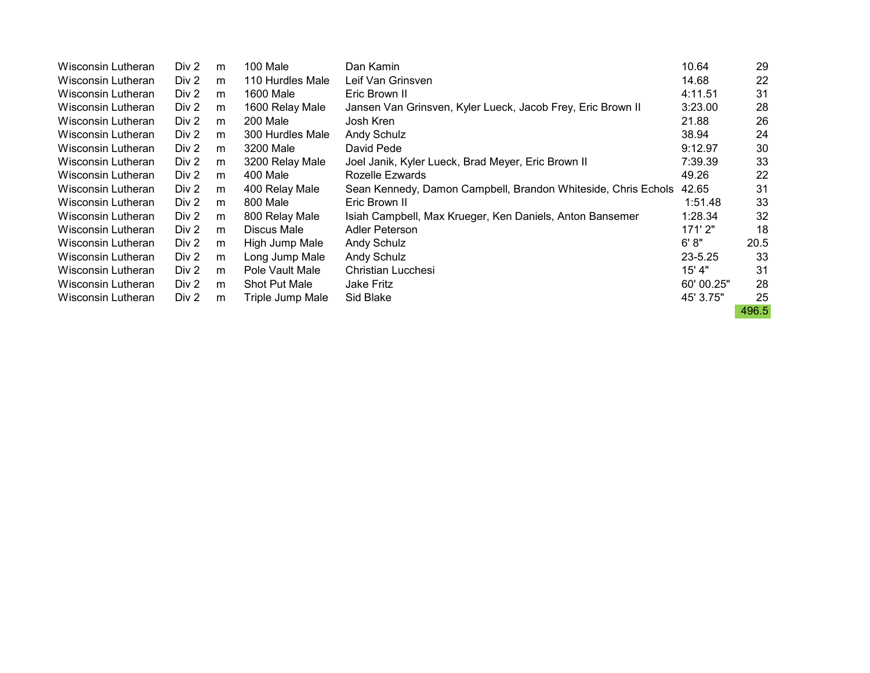| Wisconsin Lutheran | Div 2 | m | 100 Male             | Dan Kamin                                                     | 10.64       | 29    |
|--------------------|-------|---|----------------------|---------------------------------------------------------------|-------------|-------|
| Wisconsin Lutheran | Div 2 | m | 110 Hurdles Male     | Leif Van Grinsven                                             | 14.68       | 22    |
| Wisconsin Lutheran | Div 2 | m | 1600 Male            | Eric Brown II                                                 | 4:11.51     | 31    |
| Wisconsin Lutheran | Div 2 | m | 1600 Relay Male      | Jansen Van Grinsven, Kyler Lueck, Jacob Frey, Eric Brown II   | 3:23.00     | 28    |
| Wisconsin Lutheran | Div 2 | m | 200 Male             | Josh Kren                                                     | 21.88       | 26    |
| Wisconsin Lutheran | Div 2 | m | 300 Hurdles Male     | Andy Schulz                                                   | 38.94       | 24    |
| Wisconsin Lutheran | Div 2 | m | 3200 Male            | David Pede                                                    | 9:12.97     | 30    |
| Wisconsin Lutheran | Div 2 | m | 3200 Relay Male      | Joel Janik, Kyler Lueck, Brad Meyer, Eric Brown II            | 7:39.39     | 33    |
| Wisconsin Lutheran | Div 2 | m | 400 Male             | Rozelle Ezwards                                               | 49.26       | 22    |
| Wisconsin Lutheran | Div 2 | m | 400 Relay Male       | Sean Kennedy, Damon Campbell, Brandon Whiteside, Chris Echols | 42.65       | 31    |
| Wisconsin Lutheran | Div 2 | m | 800 Male             | Eric Brown II                                                 | 1:51.48     | 33    |
| Wisconsin Lutheran | Div 2 | m | 800 Relay Male       | Isiah Campbell, Max Krueger, Ken Daniels, Anton Bansemer      | 1:28.34     | 32    |
| Wisconsin Lutheran | Div 2 | m | Discus Male          | Adler Peterson                                                | 171'2"      | 18    |
| Wisconsin Lutheran | Div 2 | m | High Jump Male       | Andy Schulz                                                   | 6' 8''      | 20.5  |
| Wisconsin Lutheran | Div 2 | m | Long Jump Male       | <b>Andy Schulz</b>                                            | $23 - 5.25$ | 33    |
| Wisconsin Lutheran | Div 2 | m | Pole Vault Male      | Christian Lucchesi                                            | 15' 4"      | 31    |
| Wisconsin Lutheran | Div 2 | m | <b>Shot Put Male</b> | Jake Fritz                                                    | 60' 00.25"  | 28    |
| Wisconsin Lutheran | Div 2 | m | Triple Jump Male     | Sid Blake                                                     | 45' 3.75"   | 25    |
|                    |       |   |                      |                                                               |             | 496.5 |